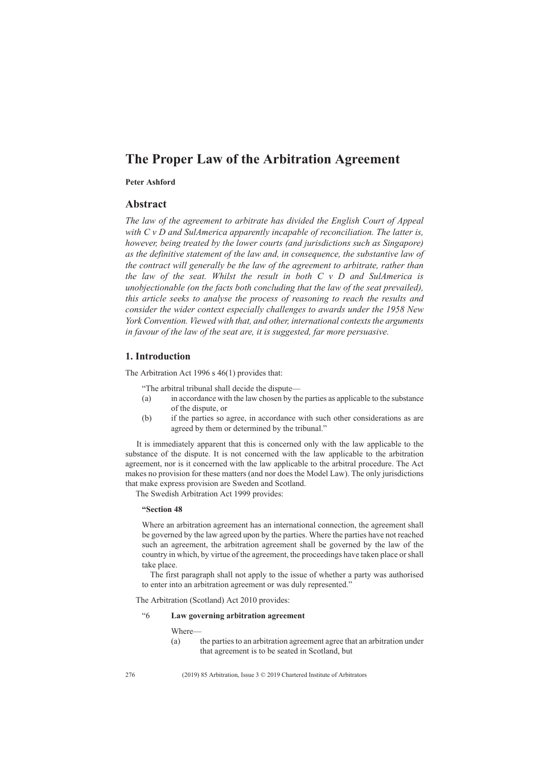# **The Proper Law of the Arbitration Agreement**

# **Peter Ashford**

#### **Abstract**

*The law of the agreement to arbitrate has divided the English Court of Appeal with C v D and SulAmerica apparently incapable of reconciliation. The latter is, however, being treated by the lower courts (and jurisdictions such as Singapore) as the definitive statement of the law and, in consequence, the substantive law of the contract will generally be the law of the agreement to arbitrate, rather than the law of the seat. Whilst the result in both C v D and SulAmerica is unobjectionable (on the facts both concluding that the law of the seat prevailed), this article seeks to analyse the process of reasoning to reach the results and consider the wider context especially challenges to awards under the 1958 New York Convention. Viewed with that, and other, international contexts the arguments in favour of the law of the seat are, it is suggested, far more persuasive.*

### **1. Introduction**

The Arbitration Act 1996 s 46(1) provides that:

- "The arbitral tribunal shall decide the dispute—
- (a) in accordance with the law chosen by the parties as applicable to the substance of the dispute, or
- (b) if the parties so agree, in accordance with such other considerations as are agreed by them or determined by the tribunal."

It is immediately apparent that this is concerned only with the law applicable to the substance of the dispute. It is not concerned with the law applicable to the arbitration agreement, nor is it concerned with the law applicable to the arbitral procedure. The Act makes no provision for these matters (and nor does the Model Law). The only jurisdictions that make express provision are Sweden and Scotland.

The Swedish Arbitration Act 1999 provides:

### **"Section 48**

Where an arbitration agreement has an international connection, the agreement shall be governed by the law agreed upon by the parties. Where the parties have not reached such an agreement, the arbitration agreement shall be governed by the law of the country in which, by virtue of the agreement, the proceedings have taken place or shall take place.

The first paragraph shall not apply to the issue of whether a party was authorised to enter into an arbitration agreement or was duly represented."

The Arbitration (Scotland) Act 2010 provides:

### "6 **Law governing arbitration agreement**

Where—

(a) the parties to an arbitration agreement agree that an arbitration under that agreement is to be seated in Scotland, but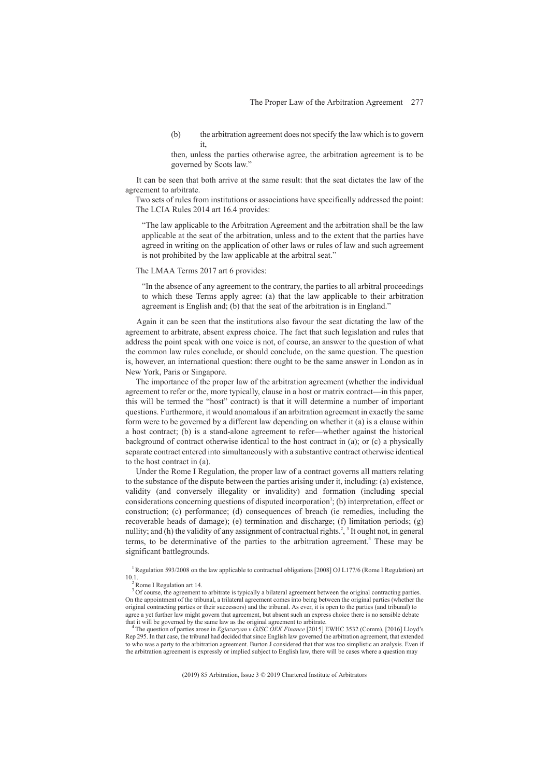(b) the arbitration agreement does not specify the law which is to govern it,

then, unless the parties otherwise agree, the arbitration agreement is to be governed by Scots law."

It can be seen that both arrive at the same result: that the seat dictates the law of the agreement to arbitrate.

Two sets of rules from institutions or associations have specifically addressed the point: The LCIA Rules 2014 art 16.4 provides:

"The law applicable to the Arbitration Agreement and the arbitration shall be the law applicable at the seat of the arbitration, unless and to the extent that the parties have agreed in writing on the application of other laws or rules of law and such agreement is not prohibited by the law applicable at the arbitral seat."

### The LMAA Terms 2017 art 6 provides:

"In the absence of any agreement to the contrary, the parties to all arbitral proceedings to which these Terms apply agree: (a) that the law applicable to their arbitration agreement is English and; (b) that the seat of the arbitration is in England."

Again it can be seen that the institutions also favour the seat dictating the law of the agreement to arbitrate, absent express choice. The fact that such legislation and rules that address the point speak with one voice is not, of course, an answer to the question of what the common law rules conclude, or should conclude, on the same question. The question is, however, an international question: there ought to be the same answer in London as in New York, Paris or Singapore.

The importance of the proper law of the arbitration agreement (whether the individual agreement to refer or the, more typically, clause in a host or matrix contract—in this paper, this will be termed the "host" contract) is that it will determine a number of important questions. Furthermore, it would anomalous if an arbitration agreement in exactly the same form were to be governed by a different law depending on whether it (a) is a clause within a host contract; (b) is a stand-alone agreement to refer—whether against the historical background of contract otherwise identical to the host contract in (a); or (c) a physically separate contract entered into simultaneously with a substantive contract otherwise identical to the host contract in (a).

Under the Rome I Regulation, the proper law of a contract governs all matters relating to the substance of the dispute between the parties arising under it, including: (a) existence, validity (and conversely illegality or invalidity) and formation (including special considerations concerning questions of disputed incorporation<sup>1</sup>; (b) interpretation, effect or construction; (c) performance; (d) consequences of breach (ie remedies, including the recoverable heads of damage); (e) termination and discharge; (f) limitation periods; (g) nullity; and (h) the validity of any assignment of contractual rights.<sup>2</sup>,  $\frac{3}{7}$  It ought not, in general terms, to be determinative of the parties to the arbitration agreement.<sup>4</sup> These may be significant battlegrounds.

The question of parties arose in *Egiazaryan v OJSC OEK Finance* [2015] EWHC 3532 (Comm), [2016] Lloyd's Rep 295. In that case, the tribunal had decided that since English law governed the arbitration agreement, that extended to who was a party to the arbitration agreement. Burton J considered that that was too simplistic an analysis. Even if the arbitration agreement is expressly or implied subject to English law, there will be cases where a question may

<sup>&</sup>lt;sup>1</sup> Regulation 593/2008 on the law applicable to contractual obligations [2008] OJ L177/6 (Rome I Regulation) art 10.1.

Rome I Regulation art 14.

<sup>&</sup>lt;sup>3</sup> Of course, the agreement to arbitrate is typically a bilateral agreement between the original contracting parties. On the appointment of the tribunal, a trilateral agreement comes into being between the original parties (whether the original contracting parties or their successors) and the tribunal. As ever, it is open to the parties (and tribunal) to agree a yet further law might govern that agreement, but absent such an express choice there is no sensible debate that it will be governed by the same law as the original agreement to arbitrate.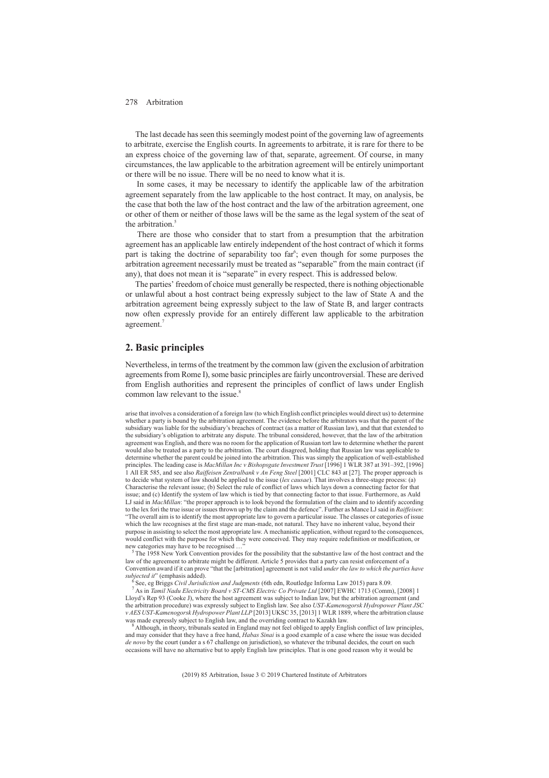The last decade has seen this seemingly modest point of the governing law of agreements to arbitrate, exercise the English courts. In agreements to arbitrate, it is rare for there to be an express choice of the governing law of that, separate, agreement. Of course, in many circumstances, the law applicable to the arbitration agreement will be entirely unimportant or there will be no issue. There will be no need to know what it is.

In some cases, it may be necessary to identify the applicable law of the arbitration agreement separately from the law applicable to the host contract. It may, on analysis, be the case that both the law of the host contract and the law of the arbitration agreement, one or other of them or neither of those laws will be the same as the legal system of the seat of the arbitration.<sup>5</sup>

There are those who consider that to start from a presumption that the arbitration agreement has an applicable law entirely independent of the host contract of which it forms part is taking the doctrine of separability too far<sup>6</sup>; even though for some purposes the arbitration agreement necessarily must be treated as "separable" from the main contract (if any), that does not mean it is "separate" in every respect. This is addressed below.

The parties' freedom of choice must generally be respected, there is nothing objectionable or unlawful about a host contract being expressly subject to the law of State A and the arbitration agreement being expressly subject to the law of State B, and larger contracts now often expressly provide for an entirely different law applicable to the arbitration agreement.<sup>7</sup>

### **2. Basic principles**

Nevertheless, in terms of the treatment by the common law (given the exclusion of arbitration agreements from Rome I), some basic principles are fairly uncontroversial. These are derived from English authorities and represent the principles of conflict of laws under English common law relevant to the issue.<sup>8</sup>

arise that involves a consideration of a foreign law (to which English conflict principles would direct us) to determine whether a party is bound by the arbitration agreement. The evidence before the arbitrators was that the parent of the subsidiary was liable for the subsidiary's breaches of contract (as a matter of Russian law), and that that extended to the subsidiary's obligation to arbitrate any dispute. The tribunal considered, however, that the law of the arbitration agreement was English, and there was no room for the application of Russian tort law to determine whether the parent would also be treated as a party to the arbitration. The court disagreed, holding that Russian law was applicable to determine whether the parent could be joined into the arbitration. This was simply the application of well-established principles. The leading case is *MacMillan Inc v Bishopsgate Investment Trust* [1996] 1 WLR 387 at 391–392, [1996] 1 All ER 585, and see also *Raiffeisen Zentralbank v An Feng Steel* [2001] CLC 843 at [27]. The proper approach is to decide what system of law should be applied to the issue (*lex causae*). That involves a three-stage process: (a) Characterise the relevant issue; (b) Select the rule of conflict of laws which lays down a connecting factor for that issue; and (c) Identify the system of law which is tied by that connecting factor to that issue. Furthermore, as Auld LJ said in *MacMillan*: "the proper approach is to look beyond the formulation of the claim and to identify according to the lex fori the true issue or issues thrown up by the claim and the defence". Further as Mance LJ said in *Raiffeisen*: "The overall aim is to identify the most appropriate law to govern a particular issue. The classes or categories of issue which the law recognises at the first stage are man-made, not natural. They have no inherent value, beyond their purpose in assisting to select the most appropriate law. A mechanistic application, without regard to the consequences, would conflict with the purpose for which they were conceived. They may require redefinition or modification, or measured access may have to be recognised ..."

The 1958 New York Convention provides for the possibility that the substantive law of the host contract and the law of the agreement to arbitrate might be different. Article 5 provides that a party can resist enforcement of a Convention award if it can prove "that the [arbitration] agreement is not valid *under the law to which the parties have*

<sup>6</sup> See, eg Briggs Civil Jurisdiction and Judgments (6th edn, Routledge Informa Law 2015) para 8.09.<br><sup>7</sup> As in *Tamil Nadu Electricity Board v ST-CMS Electric Co Private Ltd* [2007] EWHC 1713 (Comm), [2008] 1 Lloyd's Rep 93 (Cooke J), where the host agreement was subject to Indian law, but the arbitration agreement (and the arbitration procedure) was expressly subject to English law. See also *UST-Kamenogorsk Hydropower Plant JSC v AES UST-Kamenogorsk Hydropower Plant LLP* [2013] UKSC 35, [2013] 1 WLR 1889, where the arbitration clause was made expressly subject to English law, and the overriding contract to Kazakh law.

Although, in theory, tribunals seated in England may not feel obliged to apply English conflict of law principles, and may consider that they have a free hand, *Habas Sinai* is a good example of a case where the issue was decided *de novo* by the court (under a s 67 challenge on jurisdiction), so whatever the tribunal decides, the court on such occasions will have no alternative but to apply English law principles. That is one good reason why it would be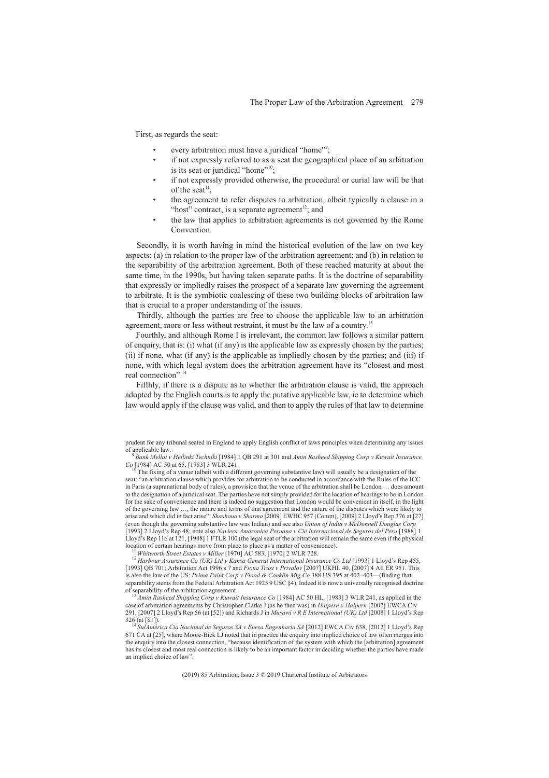First, as regards the seat:

- every arbitration must have a juridical "home"<sup>9</sup>;
- if not expressly referred to as a seat the geographical place of an arbitration is its seat or juridical "home"<sup>10</sup>;
- if not expressly provided otherwise, the procedural or curial law will be that of the seat<sup>11</sup>:
- the agreement to refer disputes to arbitration, albeit typically a clause in a "host" contract, is a separate agreement $12$ ; and
- the law that applies to arbitration agreements is not governed by the Rome Convention.

Secondly, it is worth having in mind the historical evolution of the law on two key aspects: (a) in relation to the proper law of the arbitration agreement; and (b) in relation to the separability of the arbitration agreement. Both of these reached maturity at about the same time, in the 1990s, but having taken separate paths. It is the doctrine of separability that expressly or impliedly raises the prospect of a separate law governing the agreement to arbitrate. It is the symbiotic coalescing of these two building blocks of arbitration law that is crucial to a proper understanding of the issues.

Thirdly, although the parties are free to choose the applicable law to an arbitration agreement, more or less without restraint, it must be the law of a country.<sup>13</sup>

Fourthly, and although Rome I is irrelevant, the common law follows a similar pattern of enquiry, that is: (i) what (if any) is the applicable law as expressly chosen by the parties; (ii) if none, what (if any) is the applicable as impliedly chosen by the parties; and (iii) if none, with which legal system does the arbitration agreement have its "closest and most real connection".<sup>14</sup>

Fifthly, if there is a dispute as to whether the arbitration clause is valid, the approach adopted by the English courts is to apply the putative applicable law, ie to determine which law would apply if the clause was valid, and then to apply the rules of that law to determine

prudent for any tribunal seated in England to apply English conflict of laws principles when determining any issues

of applicable law. <sup>9</sup> *Bank Mellat v Hellinki Techniki* [1984] 1 QB 291 at 301 and *Amin Rasheed Shipping Corp v Kuwait Insurance Co* [1984] AC 50 at 65, [1983] 3 WLR 241.

The fixing of a venue (albeit with a different governing substantive law) will usually be a designation of the seat: "an arbitration clause which provides for arbitration to be conducted in accordance with the Rules of the ICC in Paris (a supranational body of rules), a provision that the venue of the arbitration shall be London … does amount to the designation of a juridical seat. The parties have not simply provided for the location of hearings to be in London for the sake of convenience and there is indeed no suggestion that London would be convenient in itself, in the light of the governing law …, the nature and terms of that agreement and the nature of the disputes which were likely to arise and which did in fact arise": *Shashoua v Sharma* [2009] EWHC 957 (Comm), [2009] 2 Lloyd's Rep 376 at [27] (even though the governing substantive law was Indian) and see also *Union of India v McDonnell Douglas Corp* [1993] 2 Lloyd's Rep 48; note also *Naviera Amazonica Peruana v Cie Internacional de Seguros del Peru* [1988] 1 Lloyd's Rep 116 at 121, [1988] 1 FTLR 100 (the legal seat of the arbitration will remain the same even if the physical location of certain hearings move from place to place as a matter of convenience).<br><sup>11</sup> Whitworth Street Estates v Miller [1970] AC 583, [1970] 2 WLR 728.<br><sup>12</sup> Harbour Assurance Co (UK) Ltd v Kansa General International In

<sup>[1993]</sup> QB 701; Arbitration Act 1996 s 7 and *Fiona Trust v Privalov* [2007] UKHL 40, [2007] 4 All ER 951. This is also the law of the US: *Prima Paint Corp v Flood & Conklin Mtg Co* 388 US 395 at 402–403—(finding that separability stems from the Federal Arbitration Act 1925 9 USC  $\S4$ ). Indeed it is now a universally recognised doctrine of separability of the arbitration agreement.

Amin Rasheed Shipping Corp v Kuwait Insurance Co [1984] AC 50 HL, [1983] 3 WLR 241, as applied in the case of arbitration agreements by Christopher Clarke J (as he then was) in *Halpern v Halpern* [2007] EWCA Civ 291, [2007] 2 Lloyd's Rep 56 (at [52]) and Richards J in *Musawi v R E International (UK) Ltd* [2008] 1 Lloyd's Rep

<sup>326 (</sup>at [81]). <sup>14</sup> *SulAmérica Cia Nacional de Seguros SA v Enesa Engenharia SA* [2012] EWCA Civ 638, [2012] 1 Lloyd's Rep 671 CA at [25], where Moore-Bick LJ noted that in practice the enquiry into implied choice of law often merges into the enquiry into the closest connection, "because identification of the system with which the [arbitration] agreement has its closest and most real connection is likely to be an important factor in deciding whether the parties have made an implied choice of law".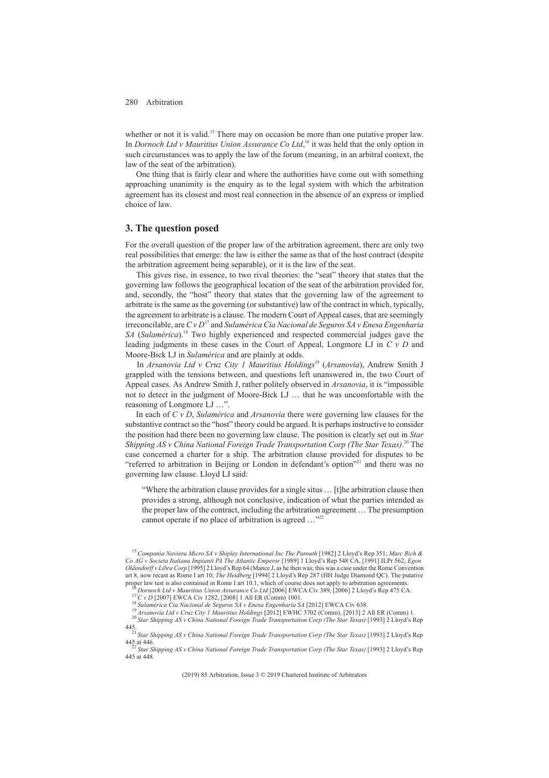whether or not it is valid.<sup>15</sup> There may on occasion be more than one putative proper law. In *Dornoch Ltd v Mauritius Union Assurance Co Ltd*, <sup>16</sup> it was held that the only option in such circumstances was to apply the law of the forum (meaning, in an arbitral context, the law of the seat of the arbitration).

One thing that is fairly clear and where the authorities have come out with something approaching unanimity is the enquiry as to the legal system with which the arbitration agreement has its closest and most real connection in the absence of an express or implied choice of law.

### **3. The question posed**

For the overall question of the proper law of the arbitration agreement, there are only two real possibilities that emerge: the law is either the same as that of the host contract (despite the arbitration agreement being separable), or it is the law of the seat.

This gives rise, in essence, to two rival theories: the "seat" theory that states that the governing law follows the geographical location of the seat of the arbitration provided for, and, secondly, the "host" theory that states that the governing law of the agreement to arbitrate is the same as the governing (or substantive) law of the contract in which, typically, the agreement to arbitrate is a clause. The modern Court of Appeal cases, that are seemingly irreconcilable, are *CvD*<sup>17</sup> and *Sulamérica Cia Nacional de Seguros SA v Enesa Engenharia SA* (*Sulamérica*).18 Two highly experienced and respected commercial judges gave the leading judgments in these cases in the Court of Appeal, Longmore LJ in *CvD* and Moore-Bick LJ in *Sulamérica* and are plainly at odds.

In *Arsanovia Ltd v Cruz City 1 Mauritius Holdings*<sup>19</sup> (*Arsanovia*), Andrew Smith J grappled with the tensions between, and questions left unanswered in, the two Court of Appeal cases. As Andrew Smith J, rather politely observed in *Arsanovia*, it is "impossible not to detect in the judgment of Moore-Bick LJ … that he was uncomfortable with the reasoning of Longmore LJ …".

In each of *CvD*, *Sulamérica* and *Arsanovia* there were governing law clauses for the substantive contract so the "host" theory could be argued. It is perhaps instructive to consider the position had there been no governing law clause. The position is clearly set out in *Star Shipping AS v China National Foreign Trade Transportation Corp (The Star Texas)*. <sup>20</sup> The case concerned a charter for a ship. The arbitration clause provided for disputes to be "referred to arbitration in Beijing or London in defendant's option"<sup>21</sup> and there was no governing law clause. Lloyd LJ said:

"Where the arbitration clause provides for a single situs … [t]he arbitration clause then provides a strong, although not conclusive, indication of what the parties intended as the proper law of the contract, including the arbitration agreement … The presumption cannot operate if no place of arbitration is agreed ..."<sup>22</sup>

<sup>15</sup> *Compania Naviera Micro SA v Shipley International Inc The Parouth* [1982] 2 Lloyd's Rep 351; *Marc Rich & Co AG v Societa Italiana Impianti PA The Atlantic Emperor* [1989] 1 Lloyd's Rep 548 CA, [1991] ILPr 562; *Egon Oldendorff v Libra Corp* [1995] 2 Lloyd's Rep 64 (Mance J, as he then was; this was a case under the Rome Convention art 8, now recast as Rome I art 10; *The Heidberg* [1994] 2 Lloyd's Rep 287 (HH Judge Diamond QC). The putative

<sup>&</sup>lt;sup>16</sup> Dornoch Ltd v Mauritius Union Assurance Co Ltd [2006] EWCA Civ 389, [2006] 2 Lloyd's Rep 475 CA.<br><sup>17</sup> C v D [2007] EWCA Civ 1282, [2008] 1 All ER (Comm) 1001.<br><sup>18</sup> Sulamérica Cia Nacional de Seguros S.4 v Enesa Engen

<sup>445.</sup> <sup>21</sup> *Star Shipping AS v China National Foreign Trade Transportation Corp (The Star Texas)* [1993] 2 Lloyd's Rep

<sup>445</sup> at 446. <sup>22</sup> *Star Shipping AS v China National Foreign Trade Transportation Corp (The Star Texas)* [1993] 2 Lloyd's Rep 445 at 448.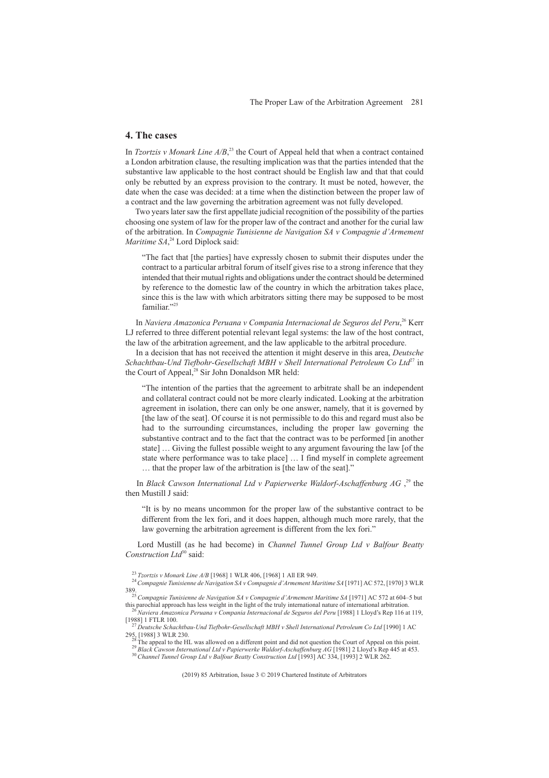# **4. The cases**

In *Tzortzis v Monark Line A/B*<sup>23</sup>, the Court of Appeal held that when a contract contained a London arbitration clause, the resulting implication was that the parties intended that the substantive law applicable to the host contract should be English law and that that could only be rebutted by an express provision to the contrary. It must be noted, however, the date when the case was decided: at a time when the distinction between the proper law of a contract and the law governing the arbitration agreement was not fully developed.

Two years later saw the first appellate judicial recognition of the possibility of the parties choosing one system of law for the proper law of the contract and another for the curial law of the arbitration. In *Compagnie Tunisienne de Navigation SA v Compagnie d'Armement Maritime SA*, <sup>24</sup> Lord Diplock said:

"The fact that [the parties] have expressly chosen to submit their disputes under the contract to a particular arbitral forum of itself gives rise to a strong inference that they intended that their mutual rights and obligations under the contract should be determined by reference to the domestic law of the country in which the arbitration takes place, since this is the law with which arbitrators sitting there may be supposed to be most familiar."25

In *Naviera Amazonica Peruana v Compania Internacional de Seguros del Peru*, <sup>26</sup> Kerr LJ referred to three different potential relevant legal systems: the law of the host contract, the law of the arbitration agreement, and the law applicable to the arbitral procedure.

In a decision that has not received the attention it might deserve in this area, *Deutsche Schachtbau-Und Tiefbohr-Gesellschaft MBH v Shell International Petroleum Co Ltd*<sup>27</sup> in the Court of Appeal,<sup>28</sup> Sir John Donaldson MR held:

"The intention of the parties that the agreement to arbitrate shall be an independent and collateral contract could not be more clearly indicated. Looking at the arbitration agreement in isolation, there can only be one answer, namely, that it is governed by [the law of the seat]. Of course it is not permissible to do this and regard must also be had to the surrounding circumstances, including the proper law governing the substantive contract and to the fact that the contract was to be performed [in another state] … Giving the fullest possible weight to any argument favouring the law [of the state where performance was to take place] … I find myself in complete agreement … that the proper law of the arbitration is [the law of the seat]."

In *Black Cawson International Ltd v Papierwerke Waldorf-Aschaffenburg AG* , <sup>29</sup> the then Mustill J said:

"It is by no means uncommon for the proper law of the substantive contract to be different from the lex fori, and it does happen, although much more rarely, that the law governing the arbitration agreement is different from the lex fori."

Lord Mustill (as he had become) in *Channel Tunnel Group Ltd v Balfour Beatty Construction Ltd*<sup>30</sup> said:

<sup>23</sup> *Tzortzis v Monark Line A/B* [1968] 1 WLR 406, [1968] 1 All ER 949. <sup>24</sup>*Compagnie Tunisienne de Navigation SA v Compagnie d'Armement Maritime SA* [1971] AC 572, [1970] 3 WLR

<sup>&</sup>lt;sup>35</sup><sup>25</sup> Compagnie Tunisienne de Navigation SA v Compagnie d'Armement Maritime SA [1971] AC 572 at 604–5 but this parochial approach has less weight in the light of the truly international nature of international arbitrati

<sup>&</sup>lt;sup>26</sup> Naviera Amazonica Peruana v Compania Internacional de Seguros del Peru [1988] 1 Lloyd's Rep 116 at 119, [1988] 1 FTLR 100.

<sup>&</sup>lt;sup>27</sup> Deutsche Schachtbau-Und Tiefbohr-Gesellschaft MBH v Shell International Petroleum Co Ltd [1990] 1 AC<br>295<sub>8</sub> [1988] 3 WLR 230

<sup>&</sup>lt;sup>28</sup> The appeal to the HL was allowed on a different point and did not question the Court of Appeal on this point.<br><sup>29</sup> Black Cawson International Ltd v Papierwerke Waldorf-Aschaffenburg AG [1981] 2 Lloyd's Rep 445 at 453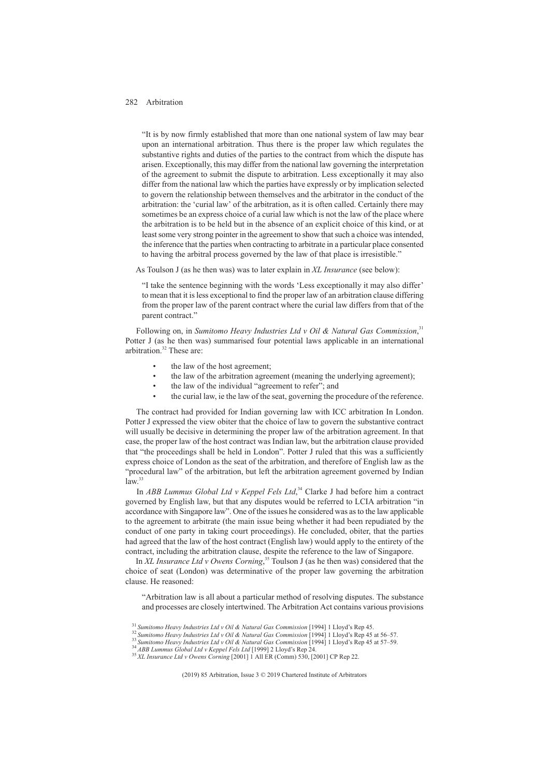"It is by now firmly established that more than one national system of law may bear upon an international arbitration. Thus there is the proper law which regulates the substantive rights and duties of the parties to the contract from which the dispute has arisen. Exceptionally, this may differ from the national law governing the interpretation of the agreement to submit the dispute to arbitration. Less exceptionally it may also differ from the national law which the parties have expressly or by implication selected to govern the relationship between themselves and the arbitrator in the conduct of the arbitration: the 'curial law' of the arbitration, as it is often called. Certainly there may sometimes be an express choice of a curial law which is not the law of the place where the arbitration is to be held but in the absence of an explicit choice of this kind, or at least some very strong pointer in the agreement to show that such a choice was intended, the inference that the parties when contracting to arbitrate in a particular place consented to having the arbitral process governed by the law of that place is irresistible."

As Toulson J (as he then was) was to later explain in *XL Insurance* (see below):

"I take the sentence beginning with the words 'Less exceptionally it may also differ' to mean that it is less exceptional to find the proper law of an arbitration clause differing from the proper law of the parent contract where the curial law differs from that of the parent contract."

Following on, in *Sumitomo Heavy Industries Ltd v Oil & Natural Gas Commission*,<sup>31</sup> Potter J (as he then was) summarised four potential laws applicable in an international arbitration.32 These are:

- the law of the host agreement;
- the law of the arbitration agreement (meaning the underlying agreement);
- the law of the individual "agreement to refer"; and
- the curial law, ie the law of the seat, governing the procedure of the reference.

The contract had provided for Indian governing law with ICC arbitration In London. Potter J expressed the view obiter that the choice of law to govern the substantive contract will usually be decisive in determining the proper law of the arbitration agreement. In that case, the proper law of the host contract was Indian law, but the arbitration clause provided that "the proceedings shall be held in London". Potter J ruled that this was a sufficiently express choice of London as the seat of the arbitration, and therefore of English law as the "procedural law" of the arbitration, but left the arbitration agreement governed by Indian  $law.<sup>33</sup>$ 

In *ABB Lummus Global Ltd v Keppel Fels Ltd*, <sup>34</sup> Clarke J had before him a contract governed by English law, but that any disputes would be referred to LCIA arbitration "in accordance with Singapore law". One of the issues he considered was as to the law applicable to the agreement to arbitrate (the main issue being whether it had been repudiated by the conduct of one party in taking court proceedings). He concluded, obiter, that the parties had agreed that the law of the host contract (English law) would apply to the entirety of the contract, including the arbitration clause, despite the reference to the law of Singapore.

In *XL Insurance Ltd v Owens Corning*, <sup>35</sup> Toulson J (as he then was) considered that the choice of seat (London) was determinative of the proper law governing the arbitration clause. He reasoned:

"Arbitration law is all about a particular method of resolving disputes. The substance and processes are closely intertwined. The Arbitration Act contains various provisions

<sup>&</sup>lt;sup>31</sup> Sumitomo Heavy Industries Ltd v Oil & Natural Gas Commission [1994] 1 Lloyd's Rep 45.<br><sup>32</sup> Sumitomo Heavy Industries Ltd v Oil & Natural Gas Commission [1994] 1 Lloyd's Rep 45 at 56–57.<br><sup>33</sup> Sumitomo Heavy Industries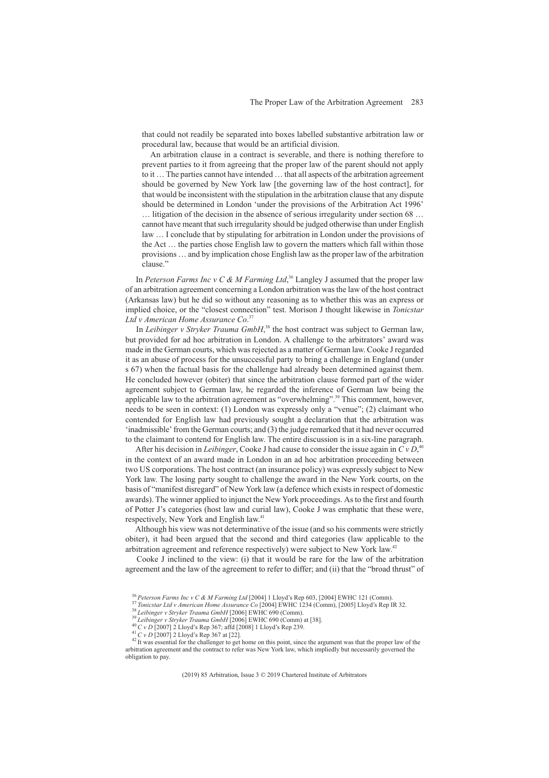that could not readily be separated into boxes labelled substantive arbitration law or procedural law, because that would be an artificial division.

An arbitration clause in a contract is severable, and there is nothing therefore to prevent parties to it from agreeing that the proper law of the parent should not apply to it … The parties cannot have intended … that all aspects of the arbitration agreement should be governed by New York law [the governing law of the host contract], for that would be inconsistent with the stipulation in the arbitration clause that any dispute should be determined in London 'under the provisions of the Arbitration Act 1996' … litigation of the decision in the absence of serious irregularity under section 68 … cannot have meant that such irregularity should be judged otherwise than under English law … I conclude that by stipulating for arbitration in London under the provisions of the Act … the parties chose English law to govern the matters which fall within those provisions … and by implication chose English law as the proper law of the arbitration clause."

In *Peterson Farms Inc v C & M Farming Ltd*, <sup>36</sup> Langley J assumed that the proper law of an arbitration agreement concerning a London arbitration was the law of the host contract (Arkansas law) but he did so without any reasoning as to whether this was an express or implied choice, or the "closest connection" test. Morison J thought likewise in *Tonicstar Ltd v American Home Assurance Co*. 37

In *Leibinger v Stryker Trauma GmbH*,<sup>38</sup> the host contract was subject to German law, but provided for ad hoc arbitration in London. A challenge to the arbitrators' award was made in the German courts, which was rejected as a matter of German law. Cooke J regarded it as an abuse of process for the unsuccessful party to bring a challenge in England (under s 67) when the factual basis for the challenge had already been determined against them. He concluded however (obiter) that since the arbitration clause formed part of the wider agreement subject to German law, he regarded the inference of German law being the applicable law to the arbitration agreement as "overwhelming".<sup>39</sup> This comment, however, needs to be seen in context: (1) London was expressly only a "venue"; (2) claimant who contended for English law had previously sought a declaration that the arbitration was 'inadmissible' from the German courts; and (3) the judge remarked that it had never occurred to the claimant to contend for English law. The entire discussion is in a six-line paragraph.

After his decision in *Leibinger*, Cooke J had cause to consider the issue again in *CvD*, 40 in the context of an award made in London in an ad hoc arbitration proceeding between two US corporations. The host contract (an insurance policy) was expressly subject to New York law. The losing party sought to challenge the award in the New York courts, on the basis of "manifest disregard" of New York law (a defence which exists in respect of domestic awards). The winner applied to injunct the New York proceedings. As to the first and fourth of Potter J's categories (host law and curial law), Cooke J was emphatic that these were, respectively, New York and English law.<sup>41</sup>

Although his view was not determinative of the issue (and so his comments were strictly obiter), it had been argued that the second and third categories (law applicable to the arbitration agreement and reference respectively) were subject to New York law.42

Cooke J inclined to the view: (i) that it would be rare for the law of the arbitration agreement and the law of the agreement to refer to differ; and (ii) that the "broad thrust" of

<sup>&</sup>lt;sup>36</sup> Peterson Farms Inc v C & M Farming Ltd [2004] 1 Lloyd's Rep 603, [2004] EWHC 121 (Comm).<br><sup>37</sup> Tonicstar Ltd v American Home Assurance Co [2004] EWHC 1234 (Comm), [2005] Lloyd's Rep IR 32.<br><sup>38</sup> Leibinger v Stryker Tra arbitration agreement and the contract to refer was New York law, which impliedly but necessarily governed the obligation to pay.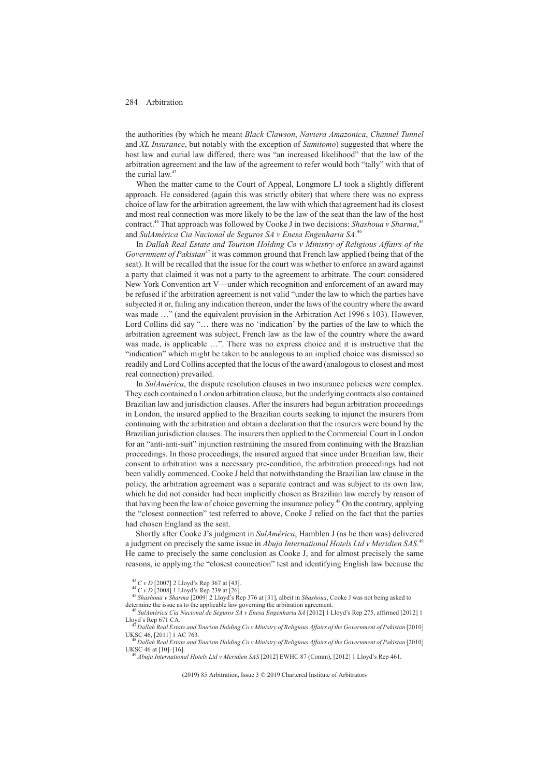the authorities (by which he meant *Black Clawson*, *Naviera Amazonica*, *Channel Tunnel* and *XL Insurance*, but notably with the exception of *Sumitomo*) suggested that where the host law and curial law differed, there was "an increased likelihood" that the law of the arbitration agreement and the law of the agreement to refer would both "tally" with that of the curial law.<sup>43</sup>

When the matter came to the Court of Appeal, Longmore LJ took a slightly different approach. He considered (again this was strictly obiter) that where there was no express choice of law for the arbitration agreement, the law with which that agreement had its closest and most real connection was more likely to be the law of the seat than the law of the host contract.<sup>44</sup> That approach was followed by Cooke J in two decisions: *Shashoua v Sharma*,<sup>45</sup> and *SulAmérica Cia Nacional de Seguros SA v Enesa Engenharia SA*. 46

In *Dallah Real Estate and Tourism Holding Co v Ministry of Religious Affairs of the Government of Pakistan*<sup>47</sup> it was common ground that French law applied (being that of the seat). It will be recalled that the issue for the court was whether to enforce an award against a party that claimed it was not a party to the agreement to arbitrate. The court considered New York Convention art V—under which recognition and enforcement of an award may be refused if the arbitration agreement is not valid "under the law to which the parties have subjected it or, failing any indication thereon, under the laws of the country where the award was made  $\ldots$ " (and the equivalent provision in the Arbitration Act 1996 s 103). However, Lord Collins did say "… there was no 'indication' by the parties of the law to which the arbitration agreement was subject, French law as the law of the country where the award was made, is applicable …". There was no express choice and it is instructive that the "indication" which might be taken to be analogous to an implied choice was dismissed so readily and Lord Collins accepted that the locus of the award (analogous to closest and most real connection) prevailed.

In *SulAmérica*, the dispute resolution clauses in two insurance policies were complex. They each contained a London arbitration clause, but the underlying contracts also contained Brazilian law and jurisdiction clauses. After the insurers had begun arbitration proceedings in London, the insured applied to the Brazilian courts seeking to injunct the insurers from continuing with the arbitration and obtain a declaration that the insurers were bound by the Brazilian jurisdiction clauses. The insurers then applied to the Commercial Court in London for an "anti-anti-suit" injunction restraining the insured from continuing with the Brazilian proceedings. In those proceedings, the insured argued that since under Brazilian law, their consent to arbitration was a necessary pre-condition, the arbitration proceedings had not been validly commenced. Cooke J held that notwithstanding the Brazilian law clause in the policy, the arbitration agreement was a separate contract and was subject to its own law, which he did not consider had been implicitly chosen as Brazilian law merely by reason of that having been the law of choice governing the insurance policy.<sup>48</sup> On the contrary, applying the "closest connection" test referred to above, Cooke J relied on the fact that the parties had chosen England as the seat.

Shortly after Cooke J's judgment in *SulAmérica*, Hamblen J (as he then was) delivered a judgment on precisely the same issue in *Abuja International Hotels Ltd v Meridien SAS*. 49 He came to precisely the same conclusion as Cooke J, and for almost precisely the same reasons, ie applying the "closest connection" test and identifying English law because the

<sup>18</sup> Dallah Real Estate and Tourism Holding Co v Ministry of Religious Affairs of the Government of Pakistan [2010] UKSC 46 at [10]–[16]. <sup>49</sup> *Abuja International Hotels Ltd v Meridien SAS* [2012] EWHC 87 (Comm), [2012] 1 Lloyd's Rep 461.

<sup>43</sup> *CvD* [2007] 2 Lloyd's Rep 367 at [43]. <sup>44</sup> *CvD* [2008] 1 Lloyd's Rep 239 at [26]. <sup>45</sup> *Shashoua v Sharma* [2009] 2 Lloyd's Rep 376 at [31], albeit in *Shashoua*, Cooke J was not being asked to

determine the issue as to the applicable law governing the arbitration agreement.<br><sup>46</sup> *SulAmérica Cia Nacional de Seguros SA v Enesa Engenharia SA* [2012] 1 Lloyd's Rep 275, affirmed [2012] 1 Lloyd's Rep 671 CA.

<sup>&</sup>lt;sup>47</sup> Dallah Real Estate and Tourism Holding Co v Ministry of Religious Affairs of the Government of Pakistan [2010]<br>UKSC 46, [2011] 1 AC 763.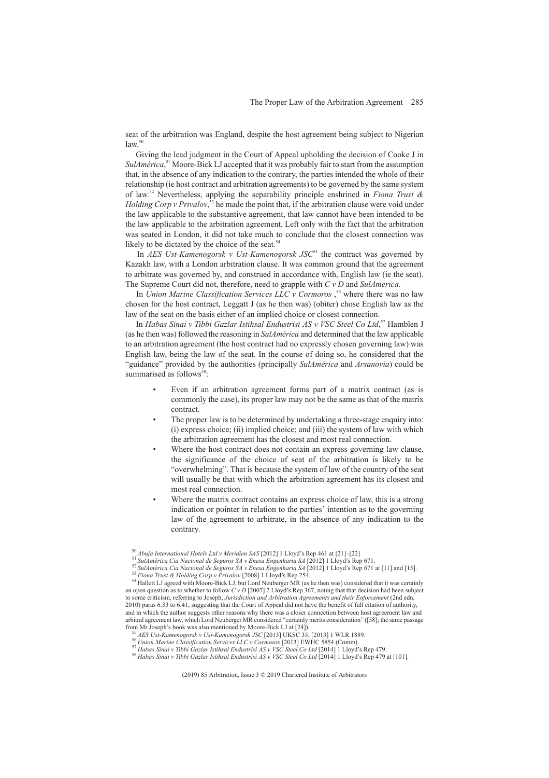seat of the arbitration was England, despite the host agreement being subject to Nigerian  $law.<sup>50</sup>$ 

Giving the lead judgment in the Court of Appeal upholding the decision of Cooke J in *SulAmérica*, <sup>51</sup> Moore-Bick LJ accepted that it was probably fair to start from the assumption that, in the absence of any indication to the contrary, the parties intended the whole of their relationship (ie host contract and arbitration agreements) to be governed by the same system of law.52 Nevertheless, applying the separability principle enshrined in *Fiona Trust & Holding Corp v Privalov*, <sup>53</sup> he made the point that, if the arbitration clause were void under the law applicable to the substantive agreement, that law cannot have been intended to be the law applicable to the arbitration agreement. Left only with the fact that the arbitration was seated in London, it did not take much to conclude that the closest connection was likely to be dictated by the choice of the seat.<sup>5</sup>

In *AES Ust-Kamenogorsk v Ust-Kamenogorsk JSC<sup>65</sup>* the contract was governed by Kazakh law, with a London arbitration clause. It was common ground that the agreement to arbitrate was governed by, and construed in accordance with, English law (ie the seat). The Supreme Court did not, therefore, need to grapple with *CvD* and *SulAmerica*.

In *Union Marine Classification Services LLC v Cormoros*,<sup>56</sup> where there was no law chosen for the host contract, Leggatt J (as he then was) (obiter) chose English law as the law of the seat on the basis either of an implied choice or closest connection.

In *Habas Sinai v Tibbi Gazlar Istihsal Endustrisi AS v VSC Steel Co Ltd*, <sup>57</sup> Hamblen J (as he then was) followed the reasoning in *SulAmérica* and determined that the law applicable to an arbitration agreement (the host contract had no expressly chosen governing law) was English law, being the law of the seat. In the course of doing so, he considered that the "guidance" provided by the authorities (principally *SulAmérica* and *Arsanovia*) could be summarised as follows<sup>58</sup>:

- Even if an arbitration agreement forms part of a matrix contract (as is commonly the case), its proper law may not be the same as that of the matrix contract.
- The proper law is to be determined by undertaking a three-stage enquiry into: (i) express choice; (ii) implied choice; and (iii) the system of law with which the arbitration agreement has the closest and most real connection.
- Where the host contract does not contain an express governing law clause, the significance of the choice of seat of the arbitration is likely to be "overwhelming". That is because the system of law of the country of the seat will usually be that with which the arbitration agreement has its closest and most real connection.
- Where the matrix contract contains an express choice of law, this is a strong indication or pointer in relation to the parties' intention as to the governing law of the agreement to arbitrate, in the absence of any indication to the contrary.

<sup>&</sup>lt;sup>50</sup> *Abuja International Hotels Ltd v Meridien SAS* [2012] 1 Lloyd's Rep 461 at [21]–[22]<br><sup>51</sup> *SulAmérica Cia Nacional de Seguros SA v Enesa Engenharia SA* [2012] 1 Lloyd's Rep 671.<br><sup>52</sup> *SulAmérica Cia Nacional de Segu* 

an open question as to whether to follow  $CvD$  [2007] 2 Lloyd's Rep 367, noting that that decision had been subject to some criticism, referring to Joseph, *Jurisdiction and Arbitration Agreements and their Enforcement* (2nd edn, 2010) paras 6.33 to 6.41, suggesting that the Court of Appeal did not have the benefit of full citation of authority, and in which the author suggests other reasons why there was a closer connection between host agreement law and arbitral agreement law, which Lord Neuberger MR considered "certainly merits consideration" ([58]; the same passage from Mr Joseph's book was also mentioned by Moore-Bick LJ at [24]).

<sup>&</sup>lt;sup>55</sup> AES Ust-Kamenogorsk v Ust-Kamenogorsk JSC [2013] UKSC 35, [2013] 1 WLR 1889.<br><sup>56</sup> Union Marine Classification Services LLC v Cormoros [2013] EWHC 5854 (Comm).<br><sup>57</sup> Habas Sinai v Tibbi Gazlar Istihsal Endustrisi AS v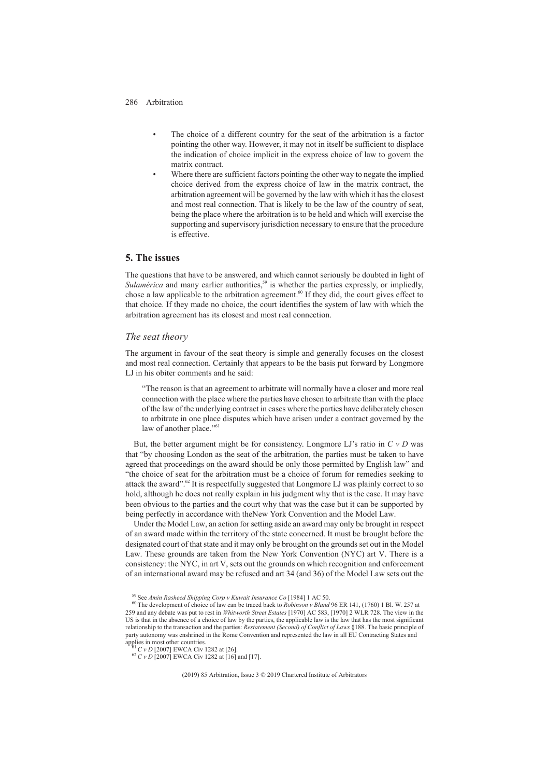- The choice of a different country for the seat of the arbitration is a factor pointing the other way. However, it may not in itself be sufficient to displace the indication of choice implicit in the express choice of law to govern the matrix contract.
- Where there are sufficient factors pointing the other way to negate the implied choice derived from the express choice of law in the matrix contract, the arbitration agreement will be governed by the law with which it has the closest and most real connection. That is likely to be the law of the country of seat, being the place where the arbitration is to be held and which will exercise the supporting and supervisory jurisdiction necessary to ensure that the procedure is effective.

# **5. The issues**

The questions that have to be answered, and which cannot seriously be doubted in light of *Sulamérica* and many earlier authorities,<sup>59</sup> is whether the parties expressly, or impliedly, chose a law applicable to the arbitration agreement.<sup>60</sup> If they did, the court gives effect to that choice. If they made no choice, the court identifies the system of law with which the arbitration agreement has its closest and most real connection.

#### *The seat theory*

The argument in favour of the seat theory is simple and generally focuses on the closest and most real connection. Certainly that appears to be the basis put forward by Longmore LJ in his obiter comments and he said:

"The reason is that an agreement to arbitrate will normally have a closer and more real connection with the place where the parties have chosen to arbitrate than with the place of the law of the underlying contract in cases where the parties have deliberately chosen to arbitrate in one place disputes which have arisen under a contract governed by the law of another place."<sup>61</sup>

But, the better argument might be for consistency. Longmore LJ's ratio in *CvD* was that "by choosing London as the seat of the arbitration, the parties must be taken to have agreed that proceedings on the award should be only those permitted by English law" and "the choice of seat for the arbitration must be a choice of forum for remedies seeking to attack the award".62 It is respectfully suggested that Longmore LJ was plainly correct to so hold, although he does not really explain in his judgment why that is the case. It may have been obvious to the parties and the court why that was the case but it can be supported by being perfectly in accordance with theNew York Convention and the Model Law.

Under the Model Law, an action for setting aside an award may only be brought in respect of an award made within the territory of the state concerned. It must be brought before the designated court of that state and it may only be brought on the grounds set out in the Model Law. These grounds are taken from the New York Convention (NYC) art V. There is a consistency: the NYC, in art V, sets out the grounds on which recognition and enforcement of an international award may be refused and art 34 (and 36) of the Model Law sets out the

<sup>59</sup> See *Amin Rasheed Shipping Corp v Kuwait Insurance Co* [1984] 1 AC 50. <sup>60</sup> The development of choice of law can be traced back to *Robinson v Bland* 96 ER 141, (1760) 1 Bl. W. 257 at 259 and any debate was put to rest in *Whitworth Street Estates* [1970] AC 583, [1970] 2 WLR 728. The view in the US is that in the absence of a choice of law by the parties, the applicable law is the law that has the most significant relationship to the transaction and the parties: *Restatement (Second) of Conflict of Laws* §188. The basic principle of party autonomy was enshrined in the Rome Convention and represented the law in all EU Contracting States and applies in most other countries.

<sup>&</sup>lt;sup>61</sup> *C v D* [2007] EWCA Civ 1282 at [26].<br><sup>62</sup> *C v D* [2007] EWCA Civ 1282 at [16] and [17].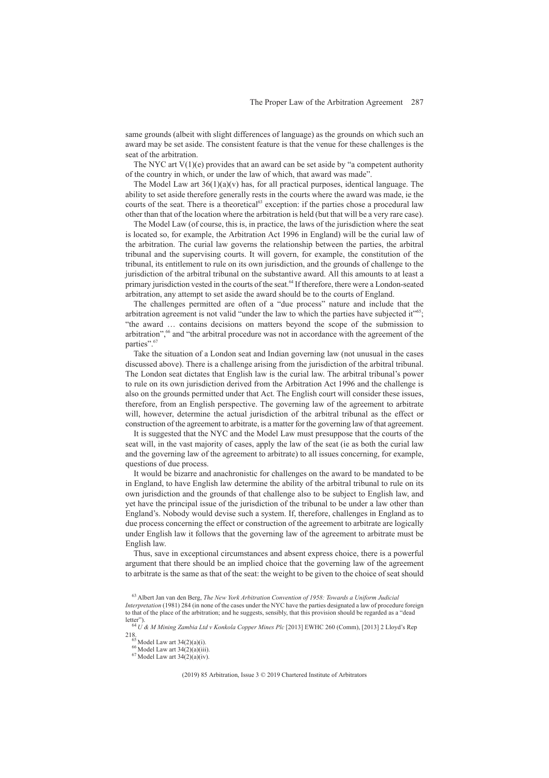same grounds (albeit with slight differences of language) as the grounds on which such an award may be set aside. The consistent feature is that the venue for these challenges is the seat of the arbitration.

The NYC art  $V(1)(e)$  provides that an award can be set aside by "a competent authority of the country in which, or under the law of which, that award was made".

The Model Law art  $36(1)(a)(v)$  has, for all practical purposes, identical language. The ability to set aside therefore generally rests in the courts where the award was made, ie the courts of the seat. There is a theoretical<sup>63</sup> exception: if the parties chose a procedural law other than that of the location where the arbitration is held (but that will be a very rare case).

The Model Law (of course, this is, in practice, the laws of the jurisdiction where the seat is located so, for example, the Arbitration Act 1996 in England) will be the curial law of the arbitration. The curial law governs the relationship between the parties, the arbitral tribunal and the supervising courts. It will govern, for example, the constitution of the tribunal, its entitlement to rule on its own jurisdiction, and the grounds of challenge to the jurisdiction of the arbitral tribunal on the substantive award. All this amounts to at least a primary jurisdiction vested in the courts of the seat.<sup>64</sup> If therefore, there were a London-seated arbitration, any attempt to set aside the award should be to the courts of England.

The challenges permitted are often of a "due process" nature and include that the arbitration agreement is not valid "under the law to which the parties have subjected it"<sup>65</sup>; "the award … contains decisions on matters beyond the scope of the submission to arbitration",<sup>66</sup> and "the arbitral procedure was not in accordance with the agreement of the parties".<sup>67</sup>

Take the situation of a London seat and Indian governing law (not unusual in the cases discussed above). There is a challenge arising from the jurisdiction of the arbitral tribunal. The London seat dictates that English law is the curial law. The arbitral tribunal's power to rule on its own jurisdiction derived from the Arbitration Act 1996 and the challenge is also on the grounds permitted under that Act. The English court will consider these issues, therefore, from an English perspective. The governing law of the agreement to arbitrate will, however, determine the actual jurisdiction of the arbitral tribunal as the effect or construction of the agreement to arbitrate, is a matter for the governing law of that agreement.

It is suggested that the NYC and the Model Law must presuppose that the courts of the seat will, in the vast majority of cases, apply the law of the seat (ie as both the curial law and the governing law of the agreement to arbitrate) to all issues concerning, for example, questions of due process.

It would be bizarre and anachronistic for challenges on the award to be mandated to be in England, to have English law determine the ability of the arbitral tribunal to rule on its own jurisdiction and the grounds of that challenge also to be subject to English law, and yet have the principal issue of the jurisdiction of the tribunal to be under a law other than England's. Nobody would devise such a system. If, therefore, challenges in England as to due process concerning the effect or construction of the agreement to arbitrate are logically under English law it follows that the governing law of the agreement to arbitrate must be English law.

Thus, save in exceptional circumstances and absent express choice, there is a powerful argument that there should be an implied choice that the governing law of the agreement to arbitrate is the same as that of the seat: the weight to be given to the choice of seat should

<sup>63</sup> Albert Jan van den Berg, *The New York Arbitration Convention of 1958: Towards a Uniform Judicial Interpretation* (1981) 284 (in none of the cases under the NYC have the parties designated a law of procedure foreign to that of the place of the arbitration; and he suggests, sensibly, that this provision should be regarded as a "dead letter").

<sup>&</sup>lt;sup>64</sup> *U & M Mining Zambia Ltd v Konkola Copper Mines Plc* [2013] EWHC 260 (Comm), [2013] 2 Lloyd's Rep 218. <sup>65</sup> Model Law art 34(2)(a)(i). <sup>65</sup> Model Law art 34(2)(a)(iii). <sup>67</sup> Model Law art 34(2)(a)(iv).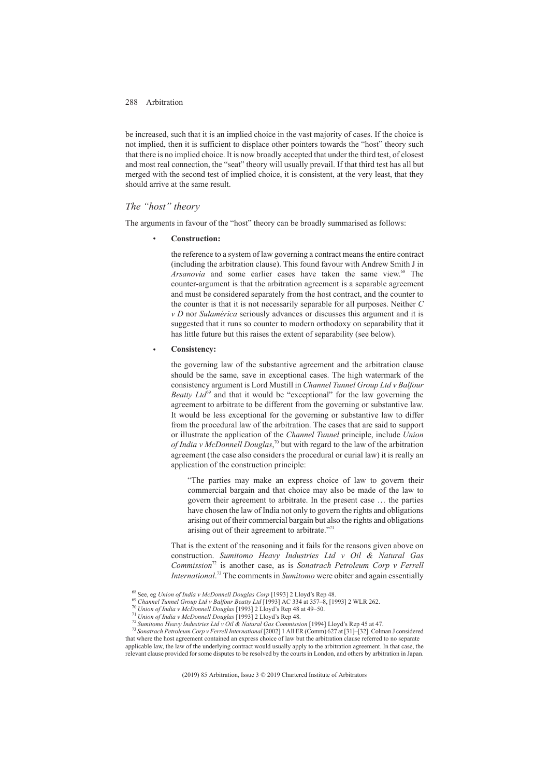be increased, such that it is an implied choice in the vast majority of cases. If the choice is not implied, then it is sufficient to displace other pointers towards the "host" theory such that there is no implied choice. It is now broadly accepted that under the third test, of closest and most real connection, the "seat" theory will usually prevail. If that third test has all but merged with the second test of implied choice, it is consistent, at the very least, that they should arrive at the same result.

# *The "host" theory*

The arguments in favour of the "host" theory can be broadly summarised as follows:

• **Construction:**

the reference to a system of law governing a contract means the entire contract (including the arbitration clause). This found favour with Andrew Smith J in Arsanovia and some earlier cases have taken the same view.<sup>68</sup> The counter-argument is that the arbitration agreement is a separable agreement and must be considered separately from the host contract, and the counter to the counter is that it is not necessarily separable for all purposes. Neither *C v D* nor *Sulamérica* seriously advances or discusses this argument and it is suggested that it runs so counter to modern orthodoxy on separability that it has little future but this raises the extent of separability (see below).

#### • **Consistency:**

the governing law of the substantive agreement and the arbitration clause should be the same, save in exceptional cases. The high watermark of the consistency argument is Lord Mustill in *Channel Tunnel Group Ltd v Balfour Beatty Ltd*<sup>69</sup> and that it would be "exceptional" for the law governing the agreement to arbitrate to be different from the governing or substantive law. It would be less exceptional for the governing or substantive law to differ from the procedural law of the arbitration. The cases that are said to support or illustrate the application of the *Channel Tunnel* principle, include *Union of India v McDonnell Douglas*, <sup>70</sup> but with regard to the law of the arbitration agreement (the case also considers the procedural or curial law) it is really an application of the construction principle:

"The parties may make an express choice of law to govern their commercial bargain and that choice may also be made of the law to govern their agreement to arbitrate. In the present case … the parties have chosen the law of India not only to govern the rights and obligations arising out of their commercial bargain but also the rights and obligations arising out of their agreement to arbitrate."<sup>7</sup>

That is the extent of the reasoning and it fails for the reasons given above on construction. *Sumitomo Heavy Industries Ltd v Oil & Natural Gas Commission*<sup>72</sup> is another case, as is *Sonatrach Petroleum Corp v Ferrell International*. <sup>73</sup> The comments in *Sumitomo* were obiter and again essentially

<sup>68</sup> See, eg Union of India v McDonnell Douglas Corp [1993] 2 Lloyd's Rep 48.<br><sup>69</sup> Channel Tunnel Group Ltd v Balfour Beatty Ltd [1993] AC 334 at 357–8, [1993] 2 WLR 262.<br><sup>70</sup> Union of India v McDonnell Douglas [1993] 2 L that where the host agreement contained an express choice of law but the arbitration clause referred to no separate applicable law, the law of the underlying contract would usually apply to the arbitration agreement. In that case, the relevant clause provided for some disputes to be resolved by the courts in London, and others by arbitration in Japan.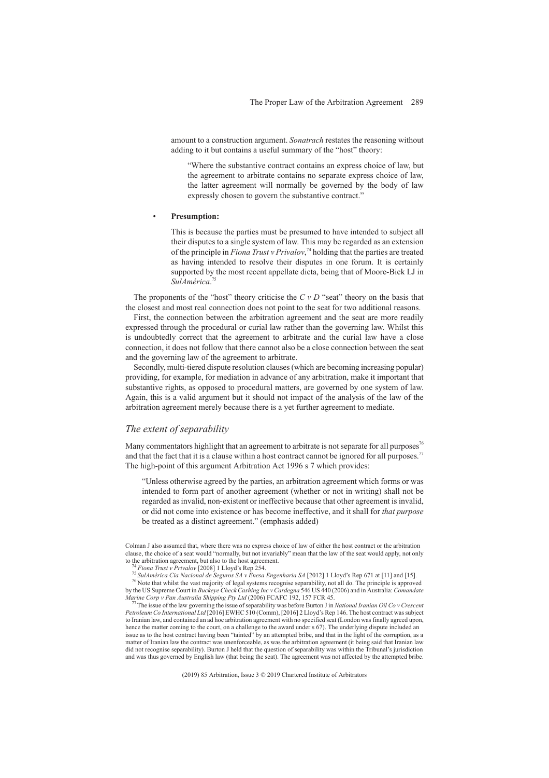amount to a construction argument. *Sonatrach* restates the reasoning without adding to it but contains a useful summary of the "host" theory:

"Where the substantive contract contains an express choice of law, but the agreement to arbitrate contains no separate express choice of law, the latter agreement will normally be governed by the body of law expressly chosen to govern the substantive contract.'

#### • **Presumption:**

This is because the parties must be presumed to have intended to subject all their disputes to a single system of law. This may be regarded as an extension of the principle in *Fiona Trust v Privalov*, <sup>74</sup> holding that the parties are treated as having intended to resolve their disputes in one forum. It is certainly supported by the most recent appellate dicta, being that of Moore-Bick LJ in *SulAmérica*. 75

The proponents of the "host" theory criticise the *C v D* "seat" theory on the basis that the closest and most real connection does not point to the seat for two additional reasons.

First, the connection between the arbitration agreement and the seat are more readily expressed through the procedural or curial law rather than the governing law. Whilst this is undoubtedly correct that the agreement to arbitrate and the curial law have a close connection, it does not follow that there cannot also be a close connection between the seat and the governing law of the agreement to arbitrate.

Secondly, multi-tiered dispute resolution clauses (which are becoming increasing popular) providing, for example, for mediation in advance of any arbitration, make it important that substantive rights, as opposed to procedural matters, are governed by one system of law. Again, this is a valid argument but it should not impact of the analysis of the law of the arbitration agreement merely because there is a yet further agreement to mediate.

### *The extent of separability*

Many commentators highlight that an agreement to arbitrate is not separate for all purposes<sup>76</sup> and that the fact that it is a clause within a host contract cannot be ignored for all purposes.<sup>77</sup> The high-point of this argument Arbitration Act 1996 s 7 which provides:

"Unless otherwise agreed by the parties, an arbitration agreement which forms or was intended to form part of another agreement (whether or not in writing) shall not be regarded as invalid, non-existent or ineffective because that other agreement is invalid, or did not come into existence or has become ineffective, and it shall for *that purpose* be treated as a distinct agreement." (emphasis added)

Colman J also assumed that, where there was no express choice of law of either the host contract or the arbitration clause, the choice of a seat would "normally, but not invariably" mean that the law of the seat would apply, not only

<sup>&</sup>lt;sup>74</sup> Fiona Trust v Privalov [2008] 1 Lloyd's Rep 254.<br><sup>75</sup> SulAmérica Cia Nacional de Seguros SA v Enesa Engenharia SA [2012] 1 Lloyd's Rep 671 at [11] and [15].<br><sup>76</sup> Note that whilst the vast majority of legal systems re by the US Supreme Court in *Buckeye Check Cashing Inc v Cardegna* 546 US 440 (2006) and in Australia: *Comandate*

The issue of the law governing the issue of separability was before Burton J in *National Iranian Oil Co v Crescent Petroleum Co International Ltd* [2016] EWHC 510 (Comm), [2016] 2 Lloyd's Rep 146. The host contract was subject to Iranian law, and contained an ad hoc arbitration agreement with no specified seat (London was finally agreed upon, hence the matter coming to the court, on a challenge to the award under s 67). The underlying dispute included an issue as to the host contract having been "tainted" by an attempted bribe, and that in the light of the corruption, as a matter of Iranian law the contract was unenforceable, as was the arbitration agreement (it being said that Iranian law did not recognise separability). Burton J held that the question of separability was within the Tribunal's jurisdiction<br>and was thus governed by English law (that being the seat). The agreement was not affected by the atte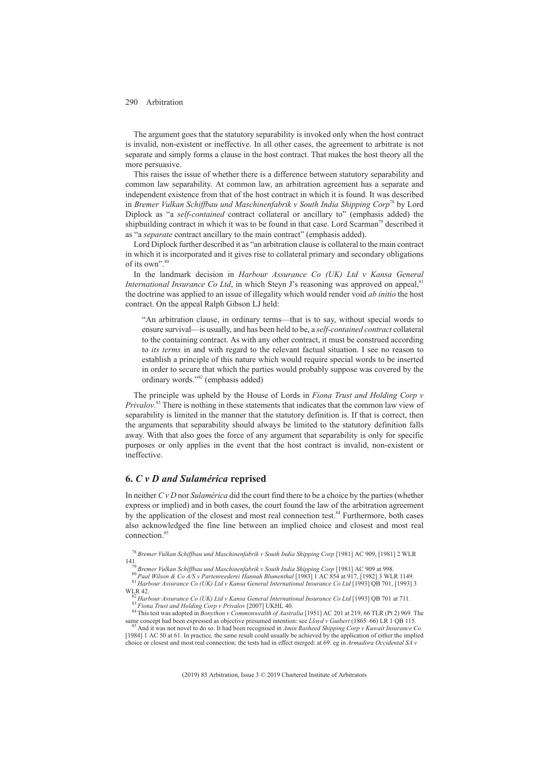The argument goes that the statutory separability is invoked only when the host contract is invalid, non-existent or ineffective. In all other cases, the agreement to arbitrate is not separate and simply forms a clause in the host contract. That makes the host theory all the more persuasive.

This raises the issue of whether there is a difference between statutory separability and common law separability. At common law, an arbitration agreement has a separate and independent existence from that of the host contract in which it is found. It was described in *Bremer Vulkan Schiffbau und Maschinenfabrik v South India Shipping Corp*<sup>78</sup> by Lord Diplock as "a *self-contained* contract collateral or ancillary to" (emphasis added) the shipbuilding contract in which it was to be found in that case. Lord Scarman<sup>79</sup> described it as  $a$ <sup>2</sup> *separate* contract ancillary to the main contract" (emphasis added).

Lord Diplock further described it as "an arbitration clause is collateral to the main contract in which it is incorporated and it gives rise to collateral primary and secondary obligations of its own".<sup>80</sup>

In the landmark decision in *Harbour Assurance Co (UK) Ltd v Kansa General International Insurance Co Ltd*, in which Steyn J's reasoning was approved on appeal,<sup>81</sup> the doctrine was applied to an issue of illegality which would render void *ab initio* the host contract. On the appeal Ralph Gibson LJ held:

"An arbitration clause, in ordinary terms—that is to say, without special words to ensure survival—is usually, and has been held to be, a *self-contained contract* collateral to the containing contract. As with any other contract, it must be construed according to *its terms* in and with regard to the relevant factual situation. I see no reason to establish a principle of this nature which would require special words to be inserted in order to secure that which the parties would probably suppose was covered by the ordinary words."82 (emphasis added)

The principle was upheld by the House of Lords in *Fiona Trust and Holding Corp v Privalov*. <sup>83</sup> There is nothing in these statements that indicates that the common law view of separability is limited in the manner that the statutory definition is. If that is correct, then the arguments that separability should always be limited to the statutory definition falls away. With that also goes the force of any argument that separability is only for specific purposes or only applies in the event that the host contract is invalid, non-existent or ineffective.

# **6.** *C v D and Sulamérica* **reprised**

In neither *CvD* nor *Sulamérica* did the court find there to be a choice by the parties (whether express or implied) and in both cases, the court found the law of the arbitration agreement by the application of the closest and most real connection test.<sup>84</sup> Furthermore, both cases also acknowledged the fine line between an implied choice and closest and most real connection.<sup>8</sup>

<sup>78</sup> *Bremer Vulkan Schiffbau und Maschinenfabrik v South India Shipping Corp* [1981] AC 909, [1981] 2 WLR

141.<br><sup>79</sup> Bremer Vulkan Schiffbau und Maschinenfabrik v South India Shipping Corp [1981] AC 909 at 998.<br><sup>80</sup> Paal Wilson & Co A/S v Partenreederei Hannah Blumenthal [1983] 1 AC 854 at 917, [1982] 3 WLR 1149.<br><sup>81</sup> Harbour

<sup>82</sup> Harbour Assurance Co (UK) Ltd v Kansa General International Insurance Co Ltd [1993] QB 701 at 711.<br><sup>83</sup> Fiona Trust and Holding Corp v Privalov [2007] UKHL 40.<br><sup>84</sup> This test was adopted in *Bonython v Commonwealth o* 

And it was not novel to do so. It had been recognised in Amin Rasheed Shipping Corp v Kuwait Insurance Co [1984] 1 AC 50 at 61. In practice, the same result could usually be achieved by the application of either the implied choice or closest and most real connection: the tests had in effect merged: at 69. eg in *Armadora Occidental SA v*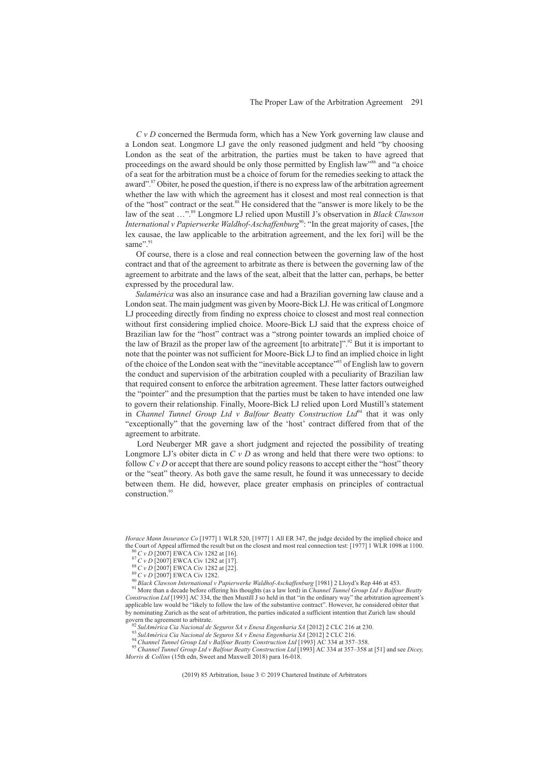*CvD* concerned the Bermuda form, which has a New York governing law clause and a London seat. Longmore LJ gave the only reasoned judgment and held "by choosing London as the seat of the arbitration, the parties must be taken to have agreed that proceedings on the award should be only those permitted by English law"<sup>86</sup> and "a choice of a seat for the arbitration must be a choice of forum for the remedies seeking to attack the award".87 Obiter, he posed the question, if there is no express law of the arbitration agreement whether the law with which the agreement has it closest and most real connection is that of the "host" contract or the seat.88 He considered that the "answer is more likely to be the law of the seat …".89 Longmore LJ relied upon Mustill J's observation in *Black Clawson International v Papierwerke Waldhof-Aschaffenburg<sup>90</sup>: "In the great majority of cases, [the* lex causae, the law applicable to the arbitration agreement, and the lex fori] will be the same".

Of course, there is a close and real connection between the governing law of the host contract and that of the agreement to arbitrate as there is between the governing law of the agreement to arbitrate and the laws of the seat, albeit that the latter can, perhaps, be better expressed by the procedural law.

*Sulamérica* was also an insurance case and had a Brazilian governing law clause and a London seat. The main judgment was given by Moore-Bick LJ. He was critical of Longmore LJ proceeding directly from finding no express choice to closest and most real connection without first considering implied choice. Moore-Bick LJ said that the express choice of Brazilian law for the "host" contract was a "strong pointer towards an implied choice of the law of Brazil as the proper law of the agreement [to arbitrate]".<sup>92</sup> But it is important to note that the pointer was not sufficient for Moore-Bick LJ to find an implied choice in light of the choice of the London seat with the "inevitable acceptance"<sup>93</sup> of English law to govern the conduct and supervision of the arbitration coupled with a peculiarity of Brazilian law that required consent to enforce the arbitration agreement. These latter factors outweighed the "pointer" and the presumption that the parties must be taken to have intended one law to govern their relationship. Finally, Moore-Bick LJ relied upon Lord Mustill's statement in *Channel Tunnel Group Ltd v Balfour Beatty Construction Ltd*<sup>94</sup> that it was only "exceptionally" that the governing law of the 'host' contract differed from that of the agreement to arbitrate.

Lord Neuberger MR gave a short judgment and rejected the possibility of treating Longmore LJ's obiter dicta in  $C \vee D$  as wrong and held that there were two options: to follow  $CvD$  or accept that there are sound policy reasons to accept either the "host" theory or the "seat" theory. As both gave the same result, he found it was unnecessary to decide between them. He did, however, place greater emphasis on principles of contractual construction.<sup>9</sup>

*Horace Mann Insurance Co* [1977] 1 WLR 520, [1977] 1 All ER 347, the judge decided by the implied choice and the Court of Appeal affirmed the result but on the closest and most real connection test: [1977] 1 WLR 1098 at 1100.<br>
<sup>86</sup> C v D [2007] EWCA Civ 1282 at [16].<br>
<sup>87</sup> C v D [2007] EWCA Civ 1282 at [17].<br>
<sup>87</sup> C v D [2007] E

Construction Ltd [1993] AC 334, the then Mustill J so held in that "in the ordinary way" the arbitration agreement's applicable law would be "likely to follow the law of the substantive contract". However, he considered ob by nominating Zurich as the seat of arbitration, the parties indicated a sufficient intention that Zurich law should

govern the agreement to arbitrate.<br><sup>92</sup> SulAmérica Cia Nacional de Seguros SA v Enesa Engenharia SA [2012] 2 CLC 216 at 230.<br><sup>93</sup> SulAmérica Cia Nacional de Seguros SA v Enesa Engenharia SA [2012] 2 CLC 216.<br><sup>94</sup> Channel

*Morris & Collins* (15th edn, Sweet and Maxwell 2018) para 16-018.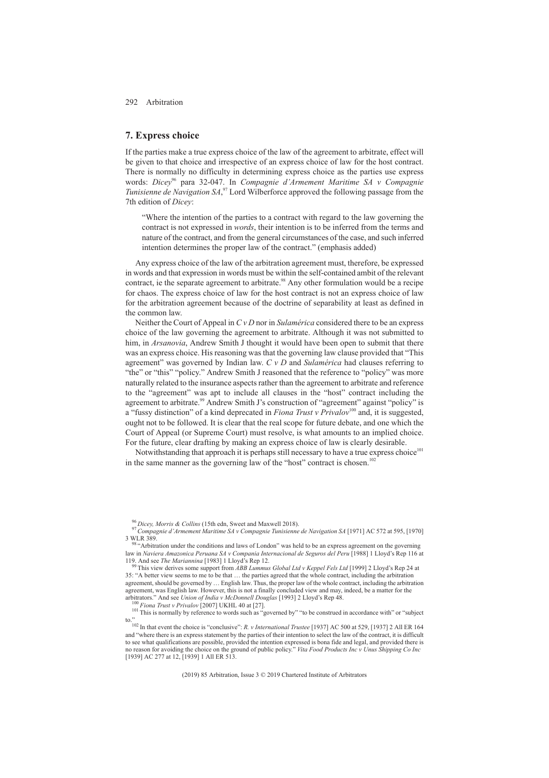### **7. Express choice**

If the parties make a true express choice of the law of the agreement to arbitrate, effect will be given to that choice and irrespective of an express choice of law for the host contract. There is normally no difficulty in determining express choice as the parties use express words: *Dicey*<sup>96</sup> para 32-047. In *Compagnie d'Armement Maritime SA v Compagnie Tunisienne de Navigation SA*,<sup>97</sup> Lord Wilberforce approved the following passage from the 7th edition of *Dicey*:

"Where the intention of the parties to a contract with regard to the law governing the contract is not expressed in *words*, their intention is to be inferred from the terms and nature of the contract, and from the general circumstances of the case, and such inferred intention determines the proper law of the contract." (emphasis added)

Any express choice of the law of the arbitration agreement must, therefore, be expressed in words and that expression in words must be within the self-contained ambit of the relevant contract, ie the separate agreement to arbitrate.<sup>98</sup> Any other formulation would be a recipe for chaos. The express choice of law for the host contract is not an express choice of law for the arbitration agreement because of the doctrine of separability at least as defined in the common law.

Neither the Court of Appeal in *CvD* nor in *Sulamérica* considered there to be an express choice of the law governing the agreement to arbitrate. Although it was not submitted to him, in *Arsanovia*, Andrew Smith J thought it would have been open to submit that there was an express choice. His reasoning was that the governing law clause provided that "This agreement" was governed by Indian law. *CvD* and *Sulamérica* had clauses referring to "the" or "this" "policy." Andrew Smith J reasoned that the reference to "policy" was more naturally related to the insurance aspects rather than the agreement to arbitrate and reference to the "agreement" was apt to include all clauses in the "host" contract including the agreement to arbitrate.<sup>99</sup> Andrew Smith J's construction of "agreement" against "policy" is a "fussy distinction" of a kind deprecated in *Fiona Trust v Privalov*<sup>100</sup> and, it is suggested. ought not to be followed. It is clear that the real scope for future debate, and one which the Court of Appeal (or Supreme Court) must resolve, is what amounts to an implied choice. For the future, clear drafting by making an express choice of law is clearly desirable.

Notwithstanding that approach it is perhaps still necessary to have a true express choice<sup>101</sup> in the same manner as the governing law of the "host" contract is chosen.<sup>1</sup>

<sup>96</sup> *Dicey, Morris & Collins* (15th edn, Sweet and Maxwell 2018). <sup>97</sup>*Compagnie d'Armement Maritime SA v Compagnie Tunisienne de Navigation SA* [1971] AC 572 at 595, [1970]

<sup>3</sup> WLR 389. <sup>98</sup> "Arbitration under the conditions and laws of London" was held to be an express agreement on the governing law in *Naviera Amazonica Peruana SA v Compania Internacional de Seguros del Peru* [1988] 1 Lloyd's Rep 116 at 119. And see *The Mariannina* [1983] 1 Lloyd's Rep 12. <sup>99</sup> This view derives some support from *ABB Lummus Global Ltd v Keppel Fels Ltd* [1999] 2 Lloyd's Rep 24 at

<sup>35: &</sup>quot;A better view seems to me to be that … the parties agreed that the whole contract, including the arbitration agreement, should be governed by … English law. Thus, the proper law of the whole contract, including the arbitration agreement, was English law. However, this is not a finally concluded view and may, indeed, be a matter for the arbitrators." And see *Union of India v McDonnell Douglas* [1993] 2 Lloyd's Rep 48.<br><sup>100</sup> *Fiona Trust v Privalov* [2007] UKHL 40 at [27].<br><sup>101</sup> This is normally by reference to words such as "governed by" "to be construe

to."<br><sup>102</sup> In that event the choice is "conclusive": *R. v International Trustee* [1937] AC 500 at 529, [1937] 2 All ER 164 and "where there is an express statement by the parties of their intention to select the law of the contract, it is difficult to see what qualifications are possible, provided the intention expressed is bona fide and legal, and provided there is no reason for avoiding the choice on the ground of public policy." *Vita Food Products Inc v Unus Shipping Co Inc* [1939] AC 277 at 12, [1939] 1 All ER 513.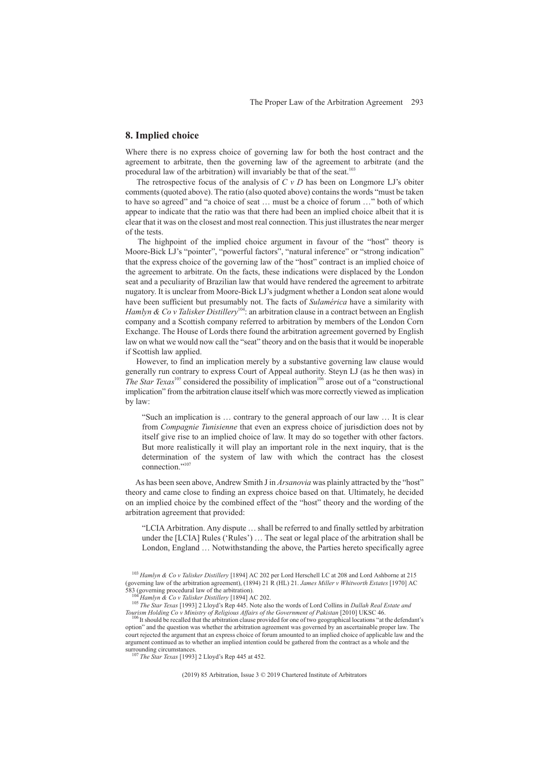# **8. Implied choice**

Where there is no express choice of governing law for both the host contract and the agreement to arbitrate, then the governing law of the agreement to arbitrate (and the procedural law of the arbitration) will invariably be that of the seat.<sup>103</sup>

The retrospective focus of the analysis of  $C \vee D$  has been on Longmore LJ's obiter comments (quoted above). The ratio (also quoted above) contains the words "must be taken to have so agreed" and "a choice of seat … must be a choice of forum …" both of which appear to indicate that the ratio was that there had been an implied choice albeit that it is clear that it was on the closest and most real connection. This just illustrates the near merger of the tests.

The highpoint of the implied choice argument in favour of the "host" theory is Moore-Bick LJ's "pointer", "powerful factors", "natural inference" or "strong indication" that the express choice of the governing law of the "host" contract is an implied choice of the agreement to arbitrate. On the facts, these indications were displaced by the London seat and a peculiarity of Brazilian law that would have rendered the agreement to arbitrate nugatory. It is unclear from Moore-Bick LJ's judgment whether a London seat alone would have been sufficient but presumably not. The facts of *Sulamérica* have a similarity with *Hamlyn & Co v Talisker Distillery*<sup>104</sup>: an arbitration clause in a contract between an English company and a Scottish company referred to arbitration by members of the London Corn Exchange. The House of Lords there found the arbitration agreement governed by English law on what we would now call the "seat" theory and on the basis that it would be inoperable if Scottish law applied.

However, to find an implication merely by a substantive governing law clause would generally run contrary to express Court of Appeal authority. Steyn LJ (as he then was) in *The Star Texas*<sup>105</sup> considered the possibility of implication<sup>106</sup> arose out of a "constructional" implication" from the arbitration clause itself which was more correctly viewed as implication by law:

"Such an implication is … contrary to the general approach of our law … It is clear from *Compagnie Tunisienne* that even an express choice of jurisdiction does not by itself give rise to an implied choice of law. It may do so together with other factors. But more realistically it will play an important role in the next inquiry, that is the determination of the system of law with which the contract has the closest connection."<sup>10</sup>

As has been seen above, Andrew Smith J in *Arsanovia* was plainly attracted by the "host" theory and came close to finding an express choice based on that. Ultimately, he decided on an implied choice by the combined effect of the "host" theory and the wording of the arbitration agreement that provided:

"LCIA Arbitration. Any dispute … shall be referred to and finally settled by arbitration under the [LCIA] Rules ('Rules') … The seat or legal place of the arbitration shall be London, England … Notwithstanding the above, the Parties hereto specifically agree

<sup>103</sup> *Hamlyn & Co v Talisker Distillery* [1894] AC 202 per Lord Herschell LC at 208 and Lord Ashborne at 215 (governing law of the arbitration agreement), (1894) 21 R (HL) 21. *James Miller v Whitworth Estates* [1970] AC

<sup>103</sup> Framely Procedular and State Distribution.<br>
105 The Star Texas [1993] 2 Lloyd's Rep 445. Note also the words of Lord Collins in Dallah Real Estate and<br>
Tourism Holding Co v Ministry of Religious Affairs of the Governme

<sup>&</sup>lt;sup>106</sup>It should be recalled that the arbitration clause provided for one of two geographical locations "at the defendant's option" and the question was whether the arbitration agreement was governed by an ascertainable proper law. The court rejected the argument that an express choice of forum amounted to an implied choice of applicable law and the argument continued as to whether an implied intention could be gathered from the contract as a whole and the  $\frac{107 \pi r}{100 \pi}$  C.

surrounding circumstances. <sup>107</sup> *The Star Texas* [1993] 2 Lloyd's Rep 445 at 452.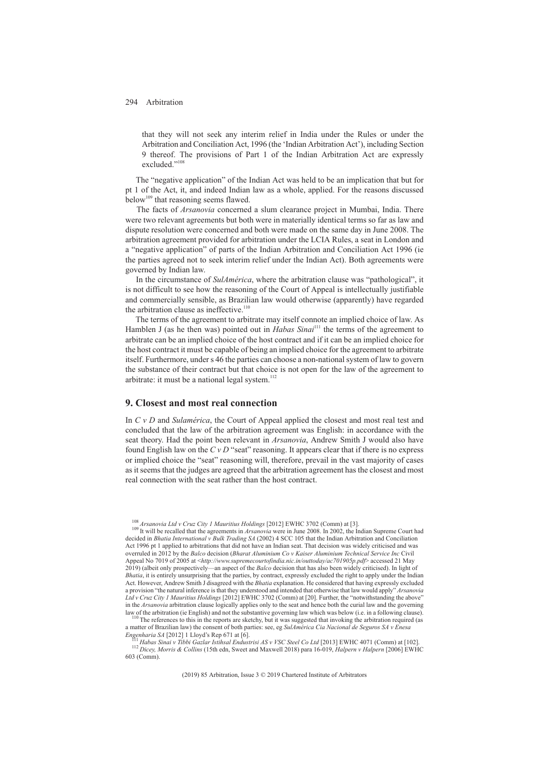that they will not seek any interim relief in India under the Rules or under the Arbitration and Conciliation Act, 1996 (the 'Indian Arbitration Act'), including Section 9 thereof. The provisions of Part 1 of the Indian Arbitration Act are expressly excluded<sup>"10</sup>

The "negative application" of the Indian Act was held to be an implication that but for pt 1 of the Act, it, and indeed Indian law as a whole, applied. For the reasons discussed below<sup>109</sup> that reasoning seems flawed.

The facts of *Arsanovia* concerned a slum clearance project in Mumbai, India. There were two relevant agreements but both were in materially identical terms so far as law and dispute resolution were concerned and both were made on the same day in June 2008. The arbitration agreement provided for arbitration under the LCIA Rules, a seat in London and a "negative application" of parts of the Indian Arbitration and Conciliation Act 1996 (ie the parties agreed not to seek interim relief under the Indian Act). Both agreements were governed by Indian law.

In the circumstance of *SulAmérica*, where the arbitration clause was "pathological", it is not difficult to see how the reasoning of the Court of Appeal is intellectually justifiable and commercially sensible, as Brazilian law would otherwise (apparently) have regarded the arbitration clause as ineffective.<sup>110</sup>

The terms of the agreement to arbitrate may itself connote an implied choice of law. As Hamblen J (as he then was) pointed out in *Habas Sinai*<sup>111</sup> the terms of the agreement to arbitrate can be an implied choice of the host contract and if it can be an implied choice for the host contract it must be capable of being an implied choice for the agreement to arbitrate itself. Furthermore, under s 46 the parties can choose a non-national system of law to govern the substance of their contract but that choice is not open for the law of the agreement to arbitrate: it must be a national legal system. $112$ 

# **9. Closest and most real connection**

In *CvD* and *Sulamérica*, the Court of Appeal applied the closest and most real test and concluded that the law of the arbitration agreement was English: in accordance with the seat theory. Had the point been relevant in *Arsanovia*, Andrew Smith J would also have found English law on the *CvD* "seat" reasoning. It appears clear that if there is no express or implied choice the "seat" reasoning will, therefore, prevail in the vast majority of cases as it seems that the judges are agreed that the arbitration agreement has the closest and most real connection with the seat rather than the host contract.

a matter of Brazilian law) the consent of both parties: see, eg *SulAmérica Cia Nacional de Seguros SA v Enesa*

 $^{111}$  Habas Sinai v Tibbi Gazlar Istihsal Endustrisi AS v VSC Steel Co Ltd [2013] EWHC 4071 (Comm) at [102].<br><sup>112</sup> Dicey, Morris & Collins (15th edn, Sweet and Maxwell 2018) para 16-019, Halpern v Halpern [2006] EWHC 603 (Comm).

<sup>&</sup>lt;sup>108</sup> *Arsanovia Ltd v Cruz City 1 Mauritius Holdings* [2012] EWHC 3702 (Comm) at [3].<br><sup>109</sup> It will be recalled that the agreements in *Arsanovia* were in June 2008. In 2002, the Indian Supreme Court had decided in *Bhatia International v Bulk Trading SA* (2002) 4 SCC 105 that the Indian Arbitration and Conciliation Act 1996 pt 1 applied to arbitrations that did not have an Indian seat. That decision was widely criticised and was overruled in 2012 by the *Balco* decision (*Bharat Aluminium Co v Kaiser Aluminium Technical Service Inc* Civil Appeal No 7019 of 2005 at <*http://www.supremecourtofindia.nic.in/outtoday/ac701905p.pdf*> accessed 21 May 2019) (albeit only prospectively—an aspect of the *Balco* decision that has also been widely criticised). In light of *Bhatia*, it is entirely unsurprising that the parties, by contract, expressly excluded the right to apply under the Indian Act. However, Andrew Smith J disagreed with the *Bhatia* explanation. He considered that having expressly excluded a provision "the natural inference is that they understood and intended that otherwise that law would apply" *Arsanovia Ltd v Cruz City 1 Mauritius Holdings* [2012] EWHC 3702 (Comm) at [20]. Further, the "notwithstanding the above" in the *Arsanovia* arbitration clause logically applies only to the seat and hence both the curial law and the governing<br>law of the arbitration (ie English) and not the substantive governing law which was below (i.e. in a <sup>110</sup> The references to this in the reports are sketchy, but it was suggested that invoking the arbitration required (as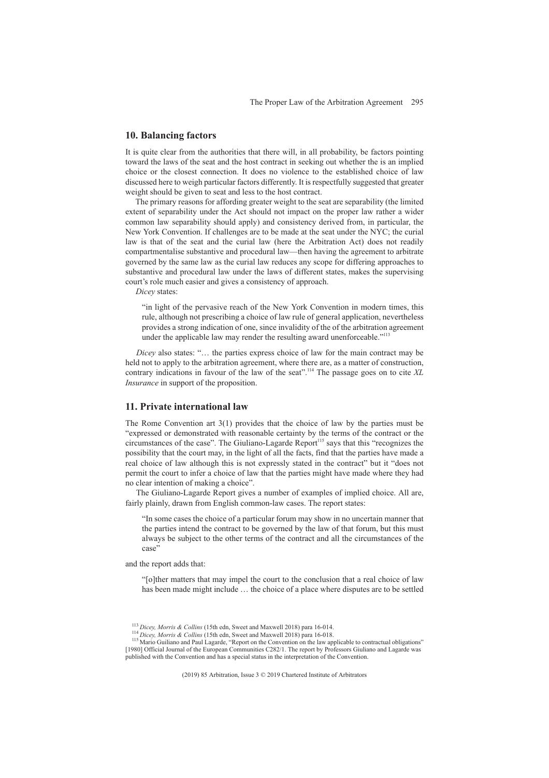### **10. Balancing factors**

It is quite clear from the authorities that there will, in all probability, be factors pointing toward the laws of the seat and the host contract in seeking out whether the is an implied choice or the closest connection. It does no violence to the established choice of law discussed here to weigh particular factors differently. It is respectfully suggested that greater weight should be given to seat and less to the host contract.

The primary reasons for affording greater weight to the seat are separability (the limited extent of separability under the Act should not impact on the proper law rather a wider common law separability should apply) and consistency derived from, in particular, the New York Convention. If challenges are to be made at the seat under the NYC; the curial law is that of the seat and the curial law (here the Arbitration Act) does not readily compartmentalise substantive and procedural law—then having the agreement to arbitrate governed by the same law as the curial law reduces any scope for differing approaches to substantive and procedural law under the laws of different states, makes the supervising court's role much easier and gives a consistency of approach.

*Dicey* states:

"in light of the pervasive reach of the New York Convention in modern times, this rule, although not prescribing a choice of law rule of general application, nevertheless provides a strong indication of one, since invalidity of the of the arbitration agreement under the applicable law may render the resulting award unenforceable."<sup>113</sup>

*Dicey* also states: "... the parties express choice of law for the main contract may be held not to apply to the arbitration agreement, where there are, as a matter of construction, contrary indications in favour of the law of the seat".114 The passage goes on to cite *XL Insurance* in support of the proposition.

#### **11. Private international law**

The Rome Convention art  $3(1)$  provides that the choice of law by the parties must be "expressed or demonstrated with reasonable certainty by the terms of the contract or the circumstances of the case". The Giuliano-Lagarde Report<sup>115</sup> says that this "recognizes the possibility that the court may, in the light of all the facts, find that the parties have made a real choice of law although this is not expressly stated in the contract" but it "does not permit the court to infer a choice of law that the parties might have made where they had no clear intention of making a choice".

The Giuliano-Lagarde Report gives a number of examples of implied choice. All are, fairly plainly, drawn from English common-law cases. The report states:

"In some cases the choice of a particular forum may show in no uncertain manner that the parties intend the contract to be governed by the law of that forum, but this must always be subject to the other terms of the contract and all the circumstances of the case"

and the report adds that:

"[o]ther matters that may impel the court to the conclusion that a real choice of law has been made might include … the choice of a place where disputes are to be settled

<sup>&</sup>lt;sup>113</sup> Dicey, Morris & Collins (15th edn, Sweet and Maxwell 2018) para 16-014.<br><sup>114</sup> Dicey, Morris & Collins (15th edn, Sweet and Maxwell 2018) para 16-018.<br><sup>115</sup> Mario Guiliano and Paul Lagarde, "Report on the Convention [1980] Official Journal of the European Communities C282/1. The report by Professors Giuliano and Lagarde was published with the Convention and has a special status in the interpretation of the Convention.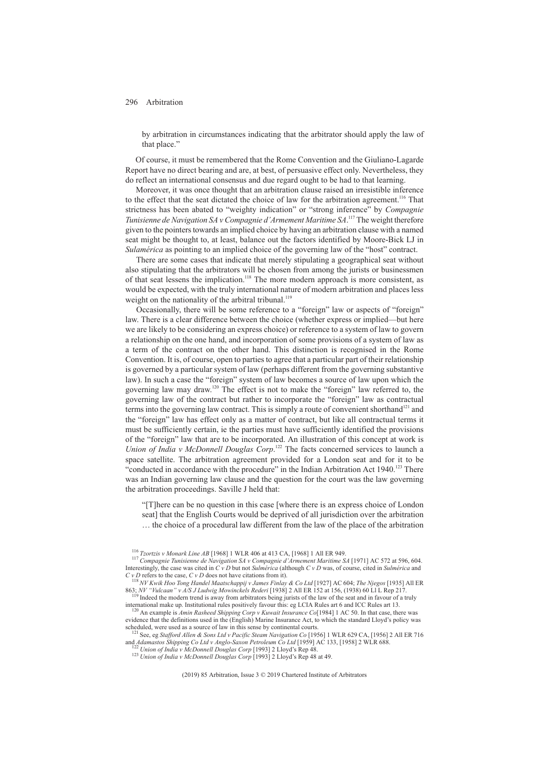by arbitration in circumstances indicating that the arbitrator should apply the law of that place."

Of course, it must be remembered that the Rome Convention and the Giuliano-Lagarde Report have no direct bearing and are, at best, of persuasive effect only. Nevertheless, they do reflect an international consensus and due regard ought to be had to that learning.

Moreover, it was once thought that an arbitration clause raised an irresistible inference to the effect that the seat dictated the choice of law for the arbitration agreement.<sup>116</sup> That strictness has been abated to "weighty indication" or "strong inference" by *Compagnie* Tunisienne de Navigation SA v Compagnie d'Armement Maritime SA.<sup>117</sup> The weight therefore given to the pointers towards an implied choice by having an arbitration clause with a named seat might be thought to, at least, balance out the factors identified by Moore-Bick LJ in *Sulamérica* as pointing to an implied choice of the governing law of the "host" contract.

There are some cases that indicate that merely stipulating a geographical seat without also stipulating that the arbitrators will be chosen from among the jurists or businessmen of that seat lessens the implication.<sup>118</sup> The more modern approach is more consistent, as would be expected, with the truly international nature of modern arbitration and places less weight on the nationality of the arbitral tribunal.<sup>119</sup>

Occasionally, there will be some reference to a "foreign" law or aspects of "foreign" law. There is a clear difference between the choice (whether express or implied—but here we are likely to be considering an express choice) or reference to a system of law to govern a relationship on the one hand, and incorporation of some provisions of a system of law as a term of the contract on the other hand. This distinction is recognised in the Rome Convention. It is, of course, open to parties to agree that a particular part of their relationship is governed by a particular system of law (perhaps different from the governing substantive law). In such a case the "foreign" system of law becomes a source of law upon which the governing law may draw.120 The effect is not to make the "foreign" law referred to, the governing law of the contract but rather to incorporate the "foreign" law as contractual terms into the governing law contract. This is simply a route of convenient shorthand<sup>121</sup> and the "foreign" law has effect only as a matter of contract, but like all contractual terms it must be sufficiently certain, ie the parties must have sufficiently identified the provisions of the "foreign" law that are to be incorporated. An illustration of this concept at work is *Union of India v McDonnell Douglas Corp*. <sup>122</sup> The facts concerned services to launch a space satellite. The arbitration agreement provided for a London seat and for it to be "conducted in accordance with the procedure" in the Indian Arbitration Act 1940.<sup>123</sup> There was an Indian governing law clause and the question for the court was the law governing the arbitration proceedings. Saville J held that:

"[T]here can be no question in this case [where there is an express choice of London seat] that the English Courts would be deprived of all jurisdiction over the arbitration

… the choice of a procedural law different from the law of the place of the arbitration

<sup>116</sup> Tzortzis v Monark Line AB [1968] 1 WLR 406 at 413 CA, [1968] 1 All ER 949.<br><sup>117</sup> Compagnie Tunisienne de Navigation SA v Compagnie d'Armement Maritime SA [1971] AC 572 at 596, 604. Interestingly, the case was cited in *CvD* but not *Sulmérica* (although *CvD* was, of course, cited in *Sulmérica* and

*C v D* refers to the case, *C v D* does not have citations from it).<br><sup>118</sup>*NV Kwik Hoo Tong Handel Maatschappij v James Finlay & Co Ltd* [1927] AC 604; *The Njegos* [1935] All ER<br>863; *NV "Vulcaan" v A/S J Ludwig Mowincke* 

<sup>&</sup>lt;sup>3</sup> Indeed the modern trend is away from arbitrators being jurists of the law of the seat and in favour of a truly international make up. Institutional rules positively favour this: eg LCIA Rules art 6 and ICC Rules art 13. <sup>120</sup> An example is *Amin Rasheed Shipping Corp v Kuwait Insurance Co*[1984] 1 AC 50. In that case, there was

evidence that the definitions used in the (English) Marine Insurance Act, to which the standard Lloyd's policy was scheduled, were used as a source of law in this sense by continental courts.

<sup>&</sup>lt;sup>121</sup> See, eg *Stafford Allen & Sons Ltd v Pacific Steam Navigation Co* [1956] 1 WLR 629 CA, [1956] 2 All ER 716 and *Adamastos Shipping Co Ltd v Anglo-Saxon Petroleum Co Ltd* [1959] AC 133, [1958] 2 WLR 688.

<sup>&</sup>lt;sup>122</sup> Union of India v McDonnell Douglas Corp [1993] 2 Lloyd's Rep 48.<br><sup>123</sup> Union of India v McDonnell Douglas Corp [1993] 2 Lloyd's Rep 48 at 49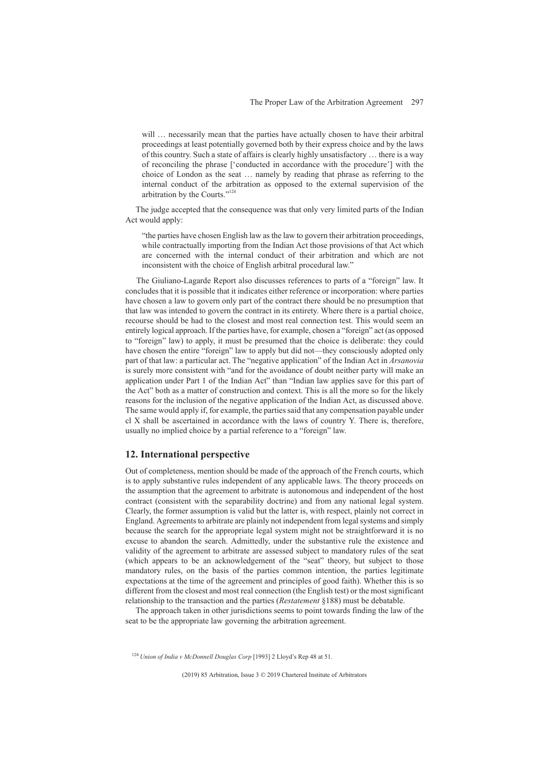will ... necessarily mean that the parties have actually chosen to have their arbitral proceedings at least potentially governed both by their express choice and by the laws of this country. Such a state of affairs is clearly highly unsatisfactory … there is a way of reconciling the phrase ['conducted in accordance with the procedure'] with the choice of London as the seat … namely by reading that phrase as referring to the internal conduct of the arbitration as opposed to the external supervision of the arbitration by the Courts."124

The judge accepted that the consequence was that only very limited parts of the Indian Act would apply:

"the parties have chosen English law as the law to govern their arbitration proceedings, while contractually importing from the Indian Act those provisions of that Act which are concerned with the internal conduct of their arbitration and which are not inconsistent with the choice of English arbitral procedural law."

The Giuliano-Lagarde Report also discusses references to parts of a "foreign" law. It concludes that it is possible that it indicates either reference or incorporation: where parties have chosen a law to govern only part of the contract there should be no presumption that that law was intended to govern the contract in its entirety. Where there is a partial choice, recourse should be had to the closest and most real connection test. This would seem an entirely logical approach. If the parties have, for example, chosen a "foreign" act (as opposed to "foreign" law) to apply, it must be presumed that the choice is deliberate: they could have chosen the entire "foreign" law to apply but did not—they consciously adopted only part of that law: a particular act. The "negative application" of the Indian Act in *Arsanovia* is surely more consistent with "and for the avoidance of doubt neither party will make an application under Part 1 of the Indian Act" than "Indian law applies save for this part of the Act" both as a matter of construction and context. This is all the more so for the likely reasons for the inclusion of the negative application of the Indian Act, as discussed above. The same would apply if, for example, the parties said that any compensation payable under cl X shall be ascertained in accordance with the laws of country Y. There is, therefore, usually no implied choice by a partial reference to a "foreign" law.

### **12. International perspective**

Out of completeness, mention should be made of the approach of the French courts, which is to apply substantive rules independent of any applicable laws. The theory proceeds on the assumption that the agreement to arbitrate is autonomous and independent of the host contract (consistent with the separability doctrine) and from any national legal system. Clearly, the former assumption is valid but the latter is, with respect, plainly not correct in England. Agreements to arbitrate are plainly not independent from legal systems and simply because the search for the appropriate legal system might not be straightforward it is no excuse to abandon the search. Admittedly, under the substantive rule the existence and validity of the agreement to arbitrate are assessed subject to mandatory rules of the seat (which appears to be an acknowledgement of the "seat" theory, but subject to those mandatory rules, on the basis of the parties common intention, the parties legitimate expectations at the time of the agreement and principles of good faith). Whether this is so different from the closest and most real connection (the English test) or the most significant relationship to the transaction and the parties (*Restatement* §188) must be debatable.

The approach taken in other jurisdictions seems to point towards finding the law of the seat to be the appropriate law governing the arbitration agreement.

<sup>124</sup> *Union of India v McDonnell Douglas Corp* [1993] 2 Lloyd's Rep 48 at 51.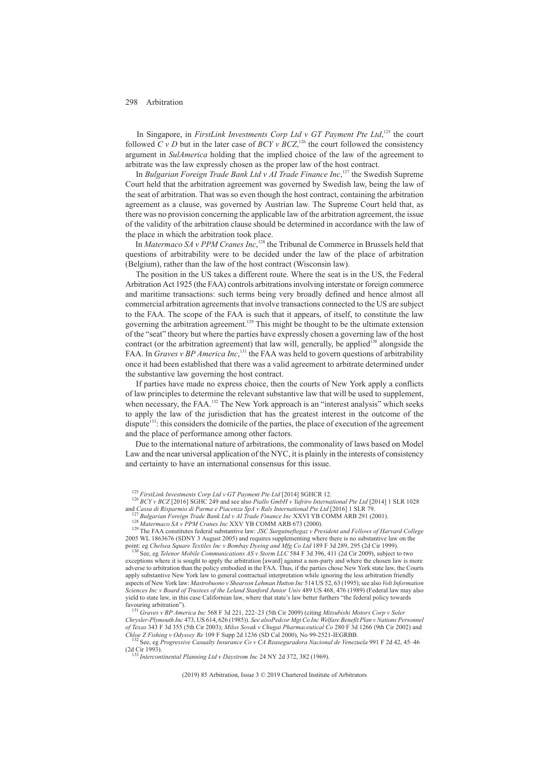In Singapore, in *FirstLink Investments Corp Ltd v GT Payment Pte Ltd*,<sup>125</sup> the court followed *C v D* but in the later case of  $BCY$  v  $BCZ$ ,<sup>126</sup>, the court followed the consistency argument in *SulAmerica* holding that the implied choice of the law of the agreement to arbitrate was the law expressly chosen as the proper law of the host contract.

In *Bulgarian Foreign Trade Bank Ltd v AI Trade Finance Inc*,<sup>127</sup> the Swedish Supreme Court held that the arbitration agreement was governed by Swedish law, being the law of the seat of arbitration. That was so even though the host contract, containing the arbitration agreement as a clause, was governed by Austrian law. The Supreme Court held that, as there was no provision concerning the applicable law of the arbitration agreement, the issue of the validity of the arbitration clause should be determined in accordance with the law of the place in which the arbitration took place.

In *Matermaco SA v PPM Cranes Inc*, <sup>128</sup> the Tribunal de Commerce in Brussels held that questions of arbitrability were to be decided under the law of the place of arbitration (Belgium), rather than the law of the host contract (Wisconsin law).

The position in the US takes a different route. Where the seat is in the US, the Federal Arbitration Act 1925 (the FAA) controls arbitrations involving interstate or foreign commerce and maritime transactions: such terms being very broadly defined and hence almost all commercial arbitration agreements that involve transactions connected to the US are subject to the FAA. The scope of the FAA is such that it appears, of itself, to constitute the law governing the arbitration agreement.129 This might be thought to be the ultimate extension of the "seat" theory but where the parties have expressly chosen a governing law of the host contract (or the arbitration agreement) that law will, generally, be applied<sup>130</sup> alongside the FAA. In *Graves v BP America Inc*,<sup>131</sup> the FAA was held to govern questions of arbitrability once it had been established that there was a valid agreement to arbitrate determined under the substantive law governing the host contract.

If parties have made no express choice, then the courts of New York apply a conflicts of law principles to determine the relevant substantive law that will be used to supplement, when necessary, the FAA.<sup>132</sup> The New York approach is an "interest analysis" which seeks to apply the law of the jurisdiction that has the greatest interest in the outcome of the dispute<sup>133</sup>: this considers the domicile of the parties, the place of execution of the agreement and the place of performance among other factors.

Due to the international nature of arbitrations, the commonality of laws based on Model Law and the near universal application of the NYC, it is plainly in the interests of consistency and certainty to have an international consensus for this issue.

<sup>127</sup> Bulgarian Foreign Trade Bank Ltd v AI Trade Finance Inc XXVI YB COMM ARB 291 (2001).<br><sup>128</sup> Matermaco SA v PPM Cranes Inc XXV YB COMM ARB 673 (2000).<br><sup>129</sup> The FAA constitutes federal substantive law: JSC Surgutnefte 2005 WL 1863676 (SDNY 3 August 2005) and requires supplementing where there is no substantive law on the point: eg *Chelsea Square Textiles Inc v Bombay Dyeing and Mfg Co Ltd* 189 F 3d 289, 295 (2d Cir 1999). <sup>130</sup> See, eg *Telenor Mobile Communications AS v Storm LLC* 584 F 3d 396, 411 (2d Cir 2009), subject to two

exceptions where it is sought to apply the arbitration [award] against a non-party and where the chosen law is more adverse to arbitration than the policy embodied in the FAA. Thus, if the parties chose New York state law, the Courts apply substantive New York law to general contractual interpretation while ignoring the less arbitration friendly aspects of New York law: *Mastrobuono v Shearson Lehman Hutton Inc* 514 US 52, 63 (1995); see also *Volt Information Sciences Inc v Board of Trustees of the Leland Stanford Junior Univ* 489 US 468, 476 (1989) (Federal law may also yield to state law, in this case Californian law, where that state's law better furthers "the federal policy towards favouring arbitration").

favouring arbitration"). <sup>131</sup> *Graves v BP America Inc* 568 F 3d 221, 222–23 (5th Cir 2009) (citing *Mitsubishi Motors Corp v Soler Chrysler-Plymouth Inc* 473, US 614, 626 (1985)). *See alsoPedcor Mgt Co Inc Welfare Benefit Plan v Nations Personnel of Texas* 343 F 3d 355 (5th Cir 2003); *Milos Sovak v Chugai Pharmaceutical Co* 280 F 3d 1266 (9th Cir 2002) and *Chloe Z Fishing v Odyssey Re* 109 F Supp 2d 1236 (SD Cal 2000), No 99-2521-IEGRBB.<br><sup>132</sup> See, eg *Progressive Casualty Insurance Co v CA Reaseguradora Nacional de Venezuela* 991 F 2d 42, 45–46

(2d Cir 1993). <sup>133</sup> *Intercontinental Planning Ltd v Daystrom Inc* 24 NY 2d 372, 382 (1969).

<sup>&</sup>lt;sup>125</sup> *FirstLink Investments Corp Ltd v GT Payment Pte Ltd* [2014] SGHCR 12.<br><sup>126</sup> *BCY v BCZ* [2016] SGHC 249 and see also *Piallo GmbH v Yafriro International Pte Ltd* [2014] 1 SLR 1028<br>and *Cassa di Risparmio di Parma e*